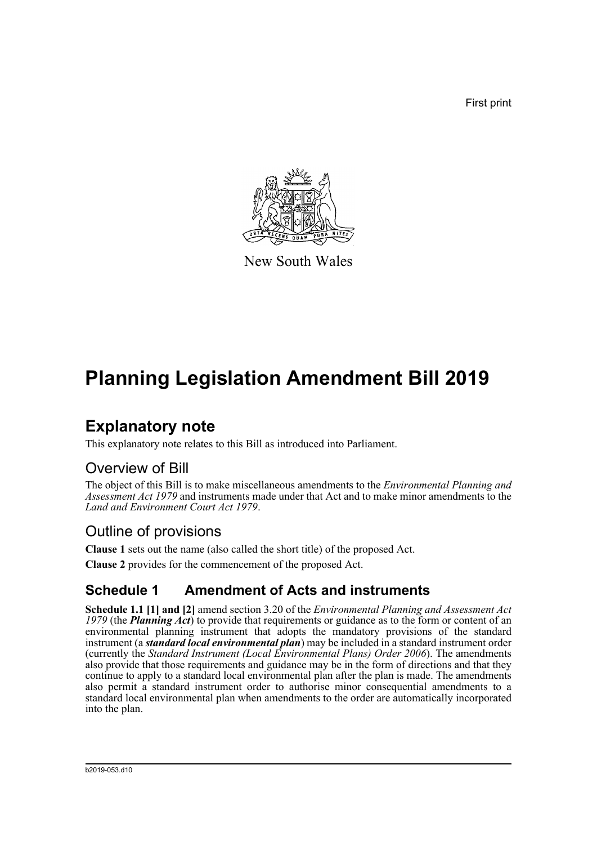First print



New South Wales

# **Planning Legislation Amendment Bill 2019**

## **Explanatory note**

This explanatory note relates to this Bill as introduced into Parliament.

## Overview of Bill

The object of this Bill is to make miscellaneous amendments to the *Environmental Planning and Assessment Act 1979* and instruments made under that Act and to make minor amendments to the *Land and Environment Court Act 1979*.

## Outline of provisions

**Clause 1** sets out the name (also called the short title) of the proposed Act. **Clause 2** provides for the commencement of the proposed Act.

## **Schedule 1 Amendment of Acts and instruments**

**Schedule 1.1 [1] and [2]** amend section 3.20 of the *Environmental Planning and Assessment Act 1979* (the *Planning Act*) to provide that requirements or guidance as to the form or content of an environmental planning instrument that adopts the mandatory provisions of the standard instrument (a *standard local environmental plan*) may be included in a standard instrument order (currently the *Standard Instrument (Local Environmental Plans) Order 2006*). The amendments also provide that those requirements and guidance may be in the form of directions and that they continue to apply to a standard local environmental plan after the plan is made. The amendments also permit a standard instrument order to authorise minor consequential amendments to a standard local environmental plan when amendments to the order are automatically incorporated into the plan.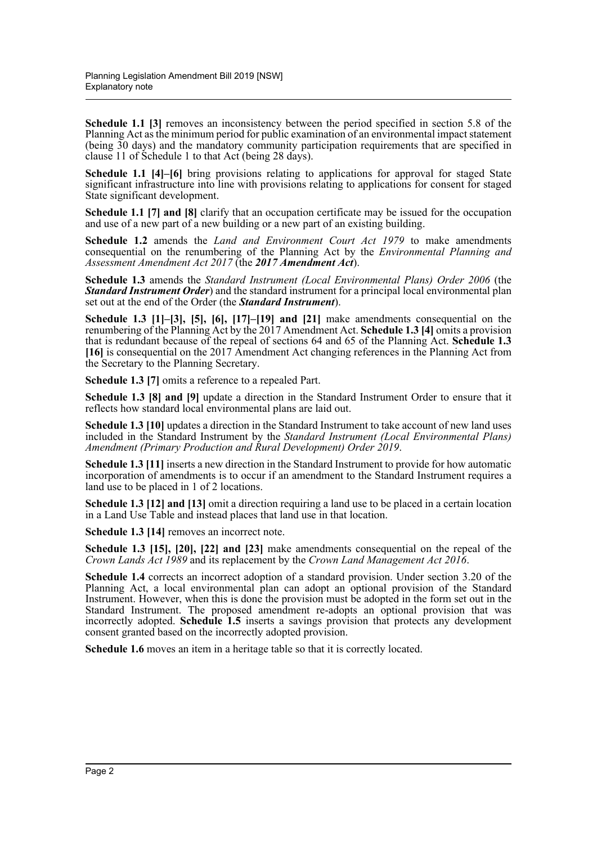**Schedule 1.1** [3] removes an inconsistency between the period specified in section 5.8 of the Planning Act as the minimum period for public examination of an environmental impact statement (being 30 days) and the mandatory community participation requirements that are specified in clause 11 of Schedule 1 to that Act (being 28 days).

**Schedule 1.1 [4]–[6]** bring provisions relating to applications for approval for staged State significant infrastructure into line with provisions relating to applications for consent for staged State significant development.

**Schedule 1.1 [7] and [8]** clarify that an occupation certificate may be issued for the occupation and use of a new part of a new building or a new part of an existing building.

**Schedule 1.2** amends the *Land and Environment Court Act 1979* to make amendments consequential on the renumbering of the Planning Act by the *Environmental Planning and Assessment Amendment Act 2017* (the *2017 Amendment Act*).

**Schedule 1.3** amends the *Standard Instrument (Local Environmental Plans) Order 2006* (the *Standard Instrument Order*) and the standard instrument for a principal local environmental plan set out at the end of the Order (the *Standard Instrument*).

**Schedule 1.3 [1]–[3], [5], [6], [17]–[19] and [21]** make amendments consequential on the renumbering of the Planning Act by the 2017 Amendment Act. **Schedule 1.3 [4]** omits a provision that is redundant because of the repeal of sections 64 and 65 of the Planning Act. **Schedule 1.3 [16]** is consequential on the 2017 Amendment Act changing references in the Planning Act from the Secretary to the Planning Secretary.

**Schedule 1.3 [7]** omits a reference to a repealed Part.

**Schedule 1.3 [8] and [9]** update a direction in the Standard Instrument Order to ensure that it reflects how standard local environmental plans are laid out.

**Schedule 1.3 [10]** updates a direction in the Standard Instrument to take account of new land uses included in the Standard Instrument by the *Standard Instrument (Local Environmental Plans) Amendment (Primary Production and Rural Development) Order 2019*.

**Schedule 1.3 [11]** inserts a new direction in the Standard Instrument to provide for how automatic incorporation of amendments is to occur if an amendment to the Standard Instrument requires a land use to be placed in 1 of 2 locations.

**Schedule 1.3 [12] and [13]** omit a direction requiring a land use to be placed in a certain location in a Land Use Table and instead places that land use in that location.

**Schedule 1.3 [14]** removes an incorrect note.

**Schedule 1.3 [15], [20], [22] and [23]** make amendments consequential on the repeal of the *Crown Lands Act 1989* and its replacement by the *Crown Land Management Act 2016*.

**Schedule 1.4** corrects an incorrect adoption of a standard provision. Under section 3.20 of the Planning Act, a local environmental plan can adopt an optional provision of the Standard Instrument. However, when this is done the provision must be adopted in the form set out in the Standard Instrument. The proposed amendment re-adopts an optional provision that was incorrectly adopted. **Schedule 1.5** inserts a savings provision that protects any development consent granted based on the incorrectly adopted provision.

**Schedule 1.6** moves an item in a heritage table so that it is correctly located.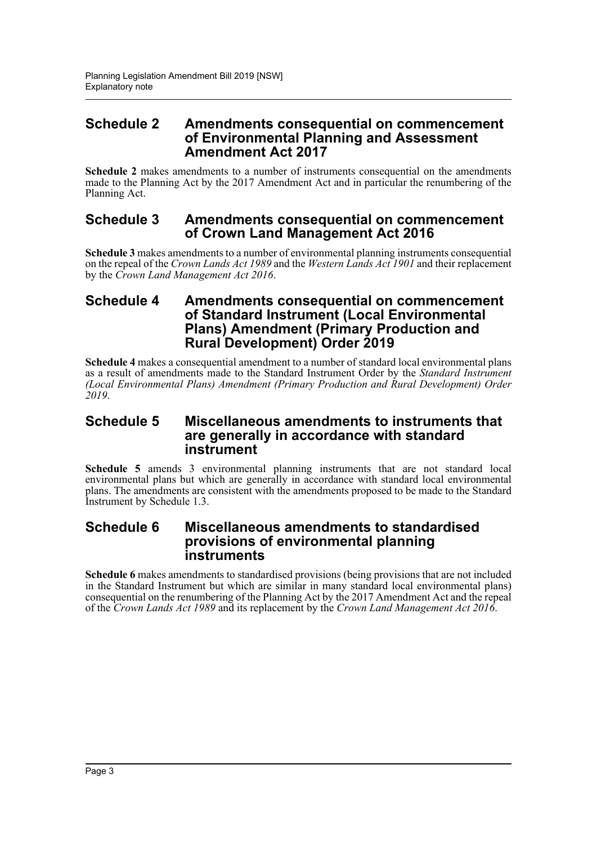#### **Schedule 2 Amendments consequential on commencement of Environmental Planning and Assessment Amendment Act 2017**

**Schedule 2** makes amendments to a number of instruments consequential on the amendments made to the Planning Act by the 2017 Amendment Act and in particular the renumbering of the Planning Act.

#### **Schedule 3 Amendments consequential on commencement of Crown Land Management Act 2016**

**Schedule 3** makes amendments to a number of environmental planning instruments consequential on the repeal of the *Crown Lands Act 1989* and the *Western Lands Act 1901* and their replacement by the *Crown Land Management Act 2016*.

#### **Schedule 4 Amendments consequential on commencement of Standard Instrument (Local Environmental Plans) Amendment (Primary Production and Rural Development) Order 2019**

**Schedule 4** makes a consequential amendment to a number of standard local environmental plans as a result of amendments made to the Standard Instrument Order by the *Standard Instrument (Local Environmental Plans) Amendment (Primary Production and Rural Development) Order 2019*.

#### **Schedule 5 Miscellaneous amendments to instruments that are generally in accordance with standard instrument**

**Schedule 5** amends 3 environmental planning instruments that are not standard local environmental plans but which are generally in accordance with standard local environmental plans. The amendments are consistent with the amendments proposed to be made to the Standard Instrument by Schedule 1.3.

#### **Schedule 6 Miscellaneous amendments to standardised provisions of environmental planning instruments**

**Schedule 6** makes amendments to standardised provisions (being provisions that are not included in the Standard Instrument but which are similar in many standard local environmental plans) consequential on the renumbering of the Planning Act by the 2017 Amendment Act and the repeal of the *Crown Lands Act 1989* and its replacement by the *Crown Land Management Act 2016*.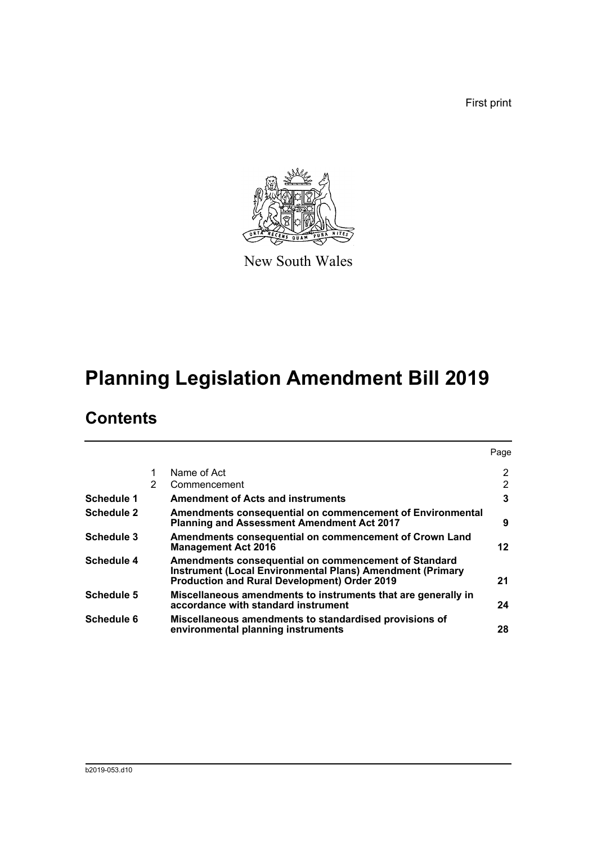First print



New South Wales

# **Planning Legislation Amendment Bill 2019**

## **Contents**

|                   |   |                                                                                                                                                                                 | Page |
|-------------------|---|---------------------------------------------------------------------------------------------------------------------------------------------------------------------------------|------|
|                   |   | Name of Act                                                                                                                                                                     | 2    |
|                   | 2 | Commencement                                                                                                                                                                    | 2    |
| <b>Schedule 1</b> |   | <b>Amendment of Acts and instruments</b>                                                                                                                                        | 3    |
| <b>Schedule 2</b> |   | Amendments consequential on commencement of Environmental<br><b>Planning and Assessment Amendment Act 2017</b>                                                                  | 9    |
| <b>Schedule 3</b> |   | Amendments consequential on commencement of Crown Land<br><b>Management Act 2016</b>                                                                                            | 12   |
| <b>Schedule 4</b> |   | Amendments consequential on commencement of Standard<br><b>Instrument (Local Environmental Plans) Amendment (Primary</b><br><b>Production and Rural Development) Order 2019</b> | 21   |
| <b>Schedule 5</b> |   | Miscellaneous amendments to instruments that are generally in<br>accordance with standard instrument                                                                            | 24   |
| <b>Schedule 6</b> |   | Miscellaneous amendments to standardised provisions of<br>environmental planning instruments                                                                                    | 28   |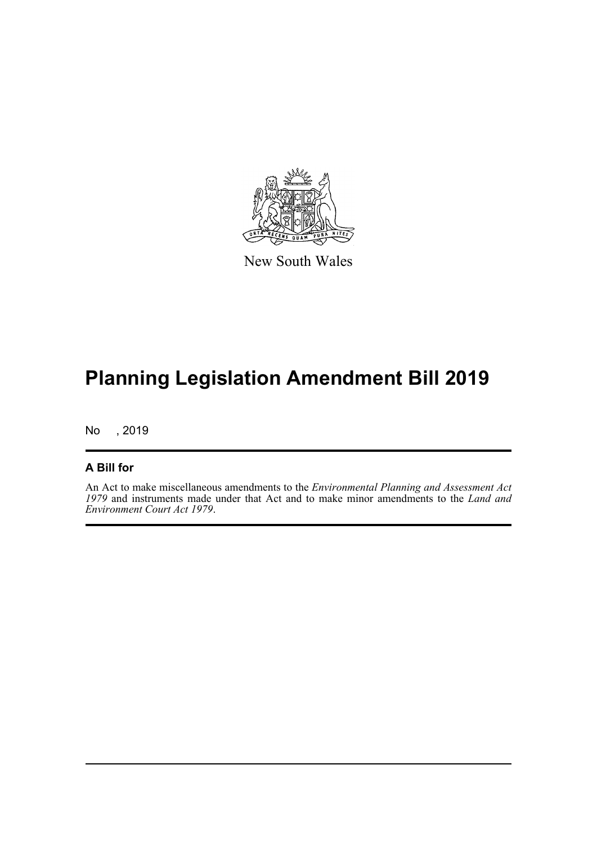

New South Wales

# **Planning Legislation Amendment Bill 2019**

No , 2019

#### **A Bill for**

An Act to make miscellaneous amendments to the *Environmental Planning and Assessment Act 1979* and instruments made under that Act and to make minor amendments to the *Land and Environment Court Act 1979*.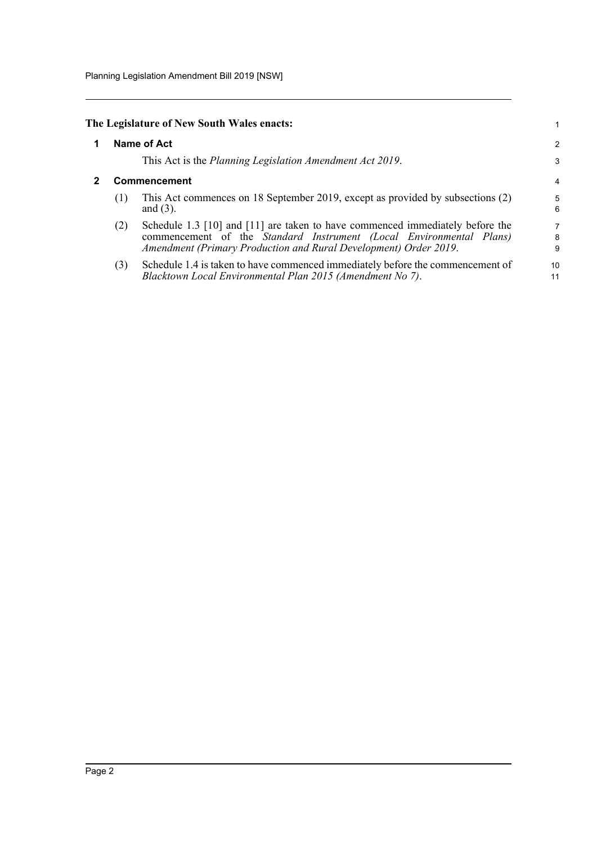Planning Legislation Amendment Bill 2019 [NSW]

<span id="page-5-1"></span><span id="page-5-0"></span>

|     | The Legislature of New South Wales enacts:                                                                                                                                                                               |             |
|-----|--------------------------------------------------------------------------------------------------------------------------------------------------------------------------------------------------------------------------|-------------|
|     | <b>Name of Act</b>                                                                                                                                                                                                       | 2           |
|     | This Act is the Planning Legislation Amendment Act 2019.                                                                                                                                                                 | 3           |
|     | Commencement                                                                                                                                                                                                             | 4           |
| (1) | This Act commences on 18 September 2019, except as provided by subsections (2)<br>and $(3)$ .                                                                                                                            | 5<br>6      |
| (2) | Schedule 1.3 [10] and [11] are taken to have commenced immediately before the<br>commencement of the Standard Instrument (Local Environmental Plans)<br>Amendment (Primary Production and Rural Development) Order 2019. | 7<br>8<br>9 |
| (3) | Schedule 1.4 is taken to have commenced immediately before the commencement of<br>Blacktown Local Environmental Plan 2015 (Amendment No 7).                                                                              | 10<br>11    |
|     |                                                                                                                                                                                                                          |             |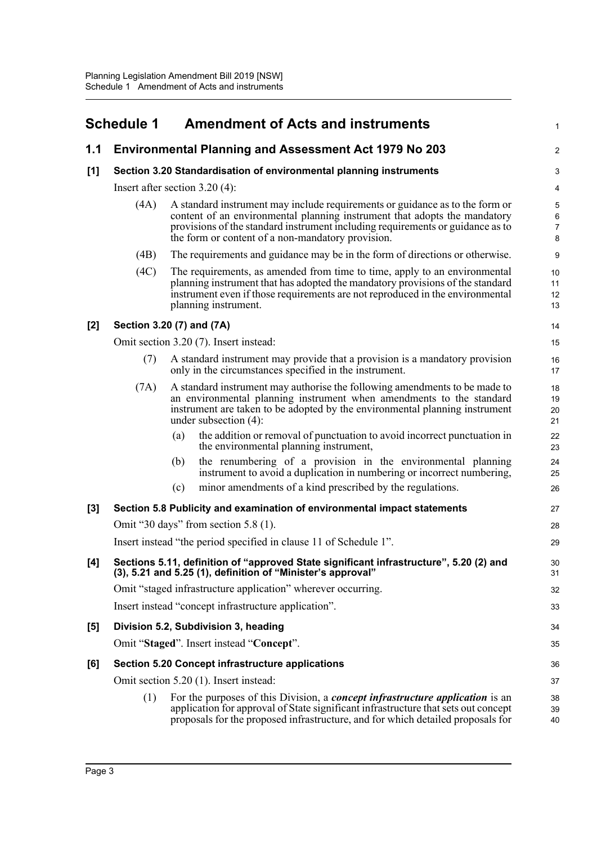<span id="page-6-0"></span>

|       | <b>Schedule 1</b>                |                                                                    | <b>Amendment of Acts and instruments</b>                                                                                                                                                                                                                                                         | $\mathbf 1$                         |  |
|-------|----------------------------------|--------------------------------------------------------------------|--------------------------------------------------------------------------------------------------------------------------------------------------------------------------------------------------------------------------------------------------------------------------------------------------|-------------------------------------|--|
| 1.1   |                                  |                                                                    | <b>Environmental Planning and Assessment Act 1979 No 203</b>                                                                                                                                                                                                                                     | $\overline{2}$                      |  |
| [1]   |                                  | Section 3.20 Standardisation of environmental planning instruments |                                                                                                                                                                                                                                                                                                  |                                     |  |
|       | Insert after section $3.20(4)$ : |                                                                    |                                                                                                                                                                                                                                                                                                  | 4                                   |  |
|       | (4A)                             |                                                                    | A standard instrument may include requirements or guidance as to the form or<br>content of an environmental planning instrument that adopts the mandatory<br>provisions of the standard instrument including requirements or guidance as to<br>the form or content of a non-mandatory provision. | 5<br>6<br>$\overline{7}$<br>$\bf 8$ |  |
|       | (4B)                             |                                                                    | The requirements and guidance may be in the form of directions or otherwise.                                                                                                                                                                                                                     | 9                                   |  |
|       | (4C)                             |                                                                    | The requirements, as amended from time to time, apply to an environmental<br>planning instrument that has adopted the mandatory provisions of the standard<br>instrument even if those requirements are not reproduced in the environmental<br>planning instrument.                              | 10<br>11<br>12<br>13                |  |
| $[2]$ | Section 3.20 (7) and (7A)        |                                                                    |                                                                                                                                                                                                                                                                                                  | 14                                  |  |
|       |                                  |                                                                    | Omit section 3.20 (7). Insert instead:                                                                                                                                                                                                                                                           | 15                                  |  |
|       | (7)                              |                                                                    | A standard instrument may provide that a provision is a mandatory provision<br>only in the circumstances specified in the instrument.                                                                                                                                                            | 16<br>17                            |  |
|       | (7A)                             |                                                                    | A standard instrument may authorise the following amendments to be made to<br>an environmental planning instrument when amendments to the standard<br>instrument are taken to be adopted by the environmental planning instrument<br>under subsection $(4)$ :                                    | 18<br>19<br>20<br>21                |  |
|       |                                  | (a)                                                                | the addition or removal of punctuation to avoid incorrect punctuation in<br>the environmental planning instrument,                                                                                                                                                                               | 22<br>23                            |  |
|       |                                  | (b)                                                                | the renumbering of a provision in the environmental planning<br>instrument to avoid a duplication in numbering or incorrect numbering,                                                                                                                                                           | 24<br>25                            |  |
|       |                                  | (c)                                                                | minor amendments of a kind prescribed by the regulations.                                                                                                                                                                                                                                        | 26                                  |  |
| $[3]$ |                                  |                                                                    | Section 5.8 Publicity and examination of environmental impact statements                                                                                                                                                                                                                         | 27                                  |  |
|       |                                  |                                                                    | Omit "30 days" from section $5.8$ (1).                                                                                                                                                                                                                                                           | 28                                  |  |
|       |                                  |                                                                    | Insert instead "the period specified in clause 11 of Schedule 1".                                                                                                                                                                                                                                | 29                                  |  |
| [4]   |                                  |                                                                    | Sections 5.11, definition of "approved State significant infrastructure", 5.20 (2) and<br>(3), 5.21 and 5.25 (1), definition of "Minister's approval"                                                                                                                                            | 30<br>31                            |  |
|       |                                  |                                                                    | Omit "staged infrastructure application" wherever occurring.                                                                                                                                                                                                                                     | 32                                  |  |
|       |                                  |                                                                    | Insert instead "concept infrastructure application".                                                                                                                                                                                                                                             | 33                                  |  |
| [5]   |                                  |                                                                    | Division 5.2, Subdivision 3, heading                                                                                                                                                                                                                                                             | 34                                  |  |
|       |                                  |                                                                    | Omit "Staged". Insert instead "Concept".                                                                                                                                                                                                                                                         | 35                                  |  |
| [6]   |                                  |                                                                    | Section 5.20 Concept infrastructure applications                                                                                                                                                                                                                                                 | 36                                  |  |
|       |                                  |                                                                    | Omit section 5.20 (1). Insert instead:                                                                                                                                                                                                                                                           | 37                                  |  |
|       | (1)                              |                                                                    | For the purposes of this Division, a <i>concept infrastructure application</i> is an<br>application for approval of State significant infrastructure that sets out concept<br>proposals for the proposed infrastructure, and for which detailed proposals for                                    | 38<br>39<br>40                      |  |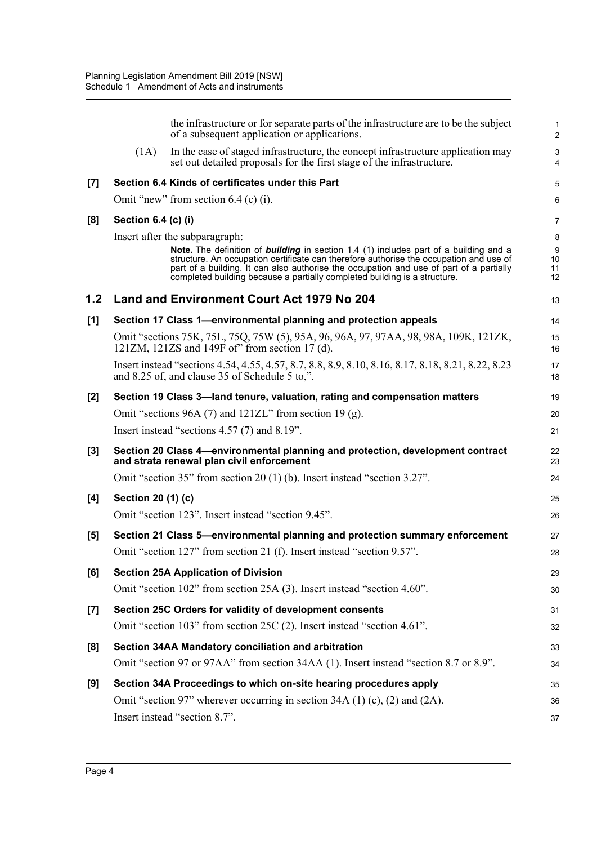|       |                     | the infrastructure or for separate parts of the infrastructure are to be the subject<br>of a subsequent application or applications.                                                                                                                                                                                                                           | 1<br>$\overline{2}$                |
|-------|---------------------|----------------------------------------------------------------------------------------------------------------------------------------------------------------------------------------------------------------------------------------------------------------------------------------------------------------------------------------------------------------|------------------------------------|
|       | (1A)                | In the case of staged infrastructure, the concept infrastructure application may<br>set out detailed proposals for the first stage of the infrastructure.                                                                                                                                                                                                      | $\sqrt{3}$<br>$\overline{4}$       |
| [7]   |                     | Section 6.4 Kinds of certificates under this Part                                                                                                                                                                                                                                                                                                              | 5                                  |
|       |                     | Omit "new" from section 6.4 (c) (i).                                                                                                                                                                                                                                                                                                                           | 6                                  |
| [8]   | Section 6.4 (c) (i) |                                                                                                                                                                                                                                                                                                                                                                | $\overline{7}$                     |
|       |                     | Insert after the subparagraph:                                                                                                                                                                                                                                                                                                                                 | 8                                  |
|       |                     | Note. The definition of <b>building</b> in section 1.4 (1) includes part of a building and a<br>structure. An occupation certificate can therefore authorise the occupation and use of<br>part of a building. It can also authorise the occupation and use of part of a partially<br>completed building because a partially completed building is a structure. | $\boldsymbol{9}$<br>10<br>11<br>12 |
| 1.2   |                     | Land and Environment Court Act 1979 No 204                                                                                                                                                                                                                                                                                                                     | 13                                 |
| [1]   |                     | Section 17 Class 1-environmental planning and protection appeals                                                                                                                                                                                                                                                                                               | 14                                 |
|       |                     | Omit "sections 75K, 75L, 75Q, 75W (5), 95A, 96, 96A, 97, 97AA, 98, 98A, 109K, 121ZK,<br>121ZM, 121ZS and 149F of" from section 17 (d).                                                                                                                                                                                                                         | 15<br>16                           |
|       |                     | Insert instead "sections 4.54, 4.55, 4.57, 8.7, 8.8, 8.9, 8.10, 8.16, 8.17, 8.18, 8.21, 8.22, 8.23<br>and 8.25 of, and clause 35 of Schedule 5 to,".                                                                                                                                                                                                           | 17<br>18                           |
| [2]   |                     | Section 19 Class 3-land tenure, valuation, rating and compensation matters                                                                                                                                                                                                                                                                                     | 19                                 |
|       |                     | Omit "sections 96A $(7)$ and 121ZL" from section 19 $(g)$ .                                                                                                                                                                                                                                                                                                    | 20                                 |
|       |                     | Insert instead "sections $4.57(7)$ and $8.19"$ .                                                                                                                                                                                                                                                                                                               | 21                                 |
| [3]   |                     | Section 20 Class 4—environmental planning and protection, development contract<br>and strata renewal plan civil enforcement                                                                                                                                                                                                                                    | 22<br>23                           |
|       |                     | Omit "section 35" from section 20 (1) (b). Insert instead "section 3.27".                                                                                                                                                                                                                                                                                      | 24                                 |
| [4]   | Section 20 (1) (c)  |                                                                                                                                                                                                                                                                                                                                                                | 25                                 |
|       |                     | Omit "section 123". Insert instead "section 9.45".                                                                                                                                                                                                                                                                                                             | 26                                 |
| [5]   |                     | Section 21 Class 5—environmental planning and protection summary enforcement                                                                                                                                                                                                                                                                                   | 27                                 |
|       |                     | Omit "section 127" from section 21 (f). Insert instead "section 9.57".                                                                                                                                                                                                                                                                                         | 28                                 |
| [6]   |                     | <b>Section 25A Application of Division</b>                                                                                                                                                                                                                                                                                                                     | 29                                 |
|       |                     | Omit "section 102" from section 25A (3). Insert instead "section 4.60".                                                                                                                                                                                                                                                                                        | 30                                 |
| $[7]$ |                     | Section 25C Orders for validity of development consents                                                                                                                                                                                                                                                                                                        | 31                                 |
|       |                     | Omit "section 103" from section 25C (2). Insert instead "section 4.61".                                                                                                                                                                                                                                                                                        | 32                                 |
| [8]   |                     | Section 34AA Mandatory conciliation and arbitration                                                                                                                                                                                                                                                                                                            | 33                                 |
|       |                     | Omit "section 97 or 97AA" from section 34AA (1). Insert instead "section 8.7 or 8.9".                                                                                                                                                                                                                                                                          | 34                                 |
| [9]   |                     | Section 34A Proceedings to which on-site hearing procedures apply                                                                                                                                                                                                                                                                                              | 35                                 |
|       |                     | Omit "section 97" wherever occurring in section 34A $(1)$ $(c)$ , $(2)$ and $(2A)$ .                                                                                                                                                                                                                                                                           | 36                                 |
|       |                     | Insert instead "section 8.7".                                                                                                                                                                                                                                                                                                                                  | 37                                 |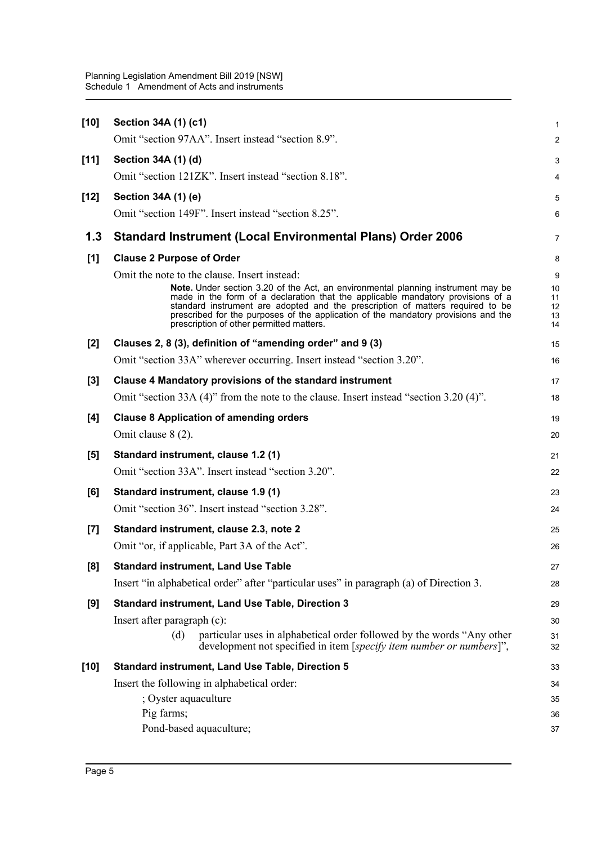| $[10]$ | Section 34A (1) (c1)                                                                                                                                                                                                                                                                                                                                                                                                                    | 1                               |
|--------|-----------------------------------------------------------------------------------------------------------------------------------------------------------------------------------------------------------------------------------------------------------------------------------------------------------------------------------------------------------------------------------------------------------------------------------------|---------------------------------|
|        | Omit "section 97AA". Insert instead "section 8.9".                                                                                                                                                                                                                                                                                                                                                                                      | $\overline{a}$                  |
| $[11]$ | Section 34A (1) (d)                                                                                                                                                                                                                                                                                                                                                                                                                     | 3                               |
|        | Omit "section 121ZK". Insert instead "section 8.18".                                                                                                                                                                                                                                                                                                                                                                                    | 4                               |
| $[12]$ | Section 34A (1) (e)                                                                                                                                                                                                                                                                                                                                                                                                                     | 5                               |
|        | Omit "section 149F". Insert instead "section 8.25".                                                                                                                                                                                                                                                                                                                                                                                     | 6                               |
| 1.3    | <b>Standard Instrument (Local Environmental Plans) Order 2006</b>                                                                                                                                                                                                                                                                                                                                                                       | 7                               |
| [1]    | <b>Clause 2 Purpose of Order</b>                                                                                                                                                                                                                                                                                                                                                                                                        | 8                               |
|        | Omit the note to the clause. Insert instead:<br>Note. Under section 3.20 of the Act, an environmental planning instrument may be<br>made in the form of a declaration that the applicable mandatory provisions of a<br>standard instrument are adopted and the prescription of matters required to be<br>prescribed for the purposes of the application of the mandatory provisions and the<br>prescription of other permitted matters. | 9<br>10<br>11<br>12<br>13<br>14 |
| $[2]$  | Clauses 2, 8 (3), definition of "amending order" and 9 (3)                                                                                                                                                                                                                                                                                                                                                                              | 15                              |
|        | Omit "section 33A" wherever occurring. Insert instead "section 3.20".                                                                                                                                                                                                                                                                                                                                                                   | 16                              |
| $[3]$  | Clause 4 Mandatory provisions of the standard instrument                                                                                                                                                                                                                                                                                                                                                                                | 17                              |
|        | Omit "section 33A (4)" from the note to the clause. Insert instead "section 3.20 (4)".                                                                                                                                                                                                                                                                                                                                                  | 18                              |
| [4]    | <b>Clause 8 Application of amending orders</b>                                                                                                                                                                                                                                                                                                                                                                                          | 19                              |
|        | Omit clause 8 (2).                                                                                                                                                                                                                                                                                                                                                                                                                      | 20                              |
| $[5]$  | Standard instrument, clause 1.2 (1)                                                                                                                                                                                                                                                                                                                                                                                                     | 21                              |
|        | Omit "section 33A". Insert instead "section 3.20".                                                                                                                                                                                                                                                                                                                                                                                      | 22                              |
| [6]    | Standard instrument, clause 1.9 (1)                                                                                                                                                                                                                                                                                                                                                                                                     | 23                              |
|        | Omit "section 36". Insert instead "section 3.28".                                                                                                                                                                                                                                                                                                                                                                                       | 24                              |
| $[7]$  | Standard instrument, clause 2.3, note 2                                                                                                                                                                                                                                                                                                                                                                                                 | 25                              |
|        | Omit "or, if applicable, Part 3A of the Act".                                                                                                                                                                                                                                                                                                                                                                                           | 26                              |
| [8]    | <b>Standard instrument, Land Use Table</b>                                                                                                                                                                                                                                                                                                                                                                                              | 27                              |
|        | Insert "in alphabetical order" after "particular uses" in paragraph (a) of Direction 3.                                                                                                                                                                                                                                                                                                                                                 | 28                              |
| [9]    | <b>Standard instrument, Land Use Table, Direction 3</b>                                                                                                                                                                                                                                                                                                                                                                                 | 29                              |
|        | Insert after paragraph (c):                                                                                                                                                                                                                                                                                                                                                                                                             | 30                              |
|        | particular uses in alphabetical order followed by the words "Any other<br>(d)<br>development not specified in item [ <i>specify item number or numbers</i> ]",                                                                                                                                                                                                                                                                          | 31<br>32                        |
| $[10]$ | <b>Standard instrument, Land Use Table, Direction 5</b>                                                                                                                                                                                                                                                                                                                                                                                 | 33                              |
|        | Insert the following in alphabetical order:                                                                                                                                                                                                                                                                                                                                                                                             | 34                              |
|        | ; Oyster aquaculture                                                                                                                                                                                                                                                                                                                                                                                                                    | 35                              |
|        | Pig farms;                                                                                                                                                                                                                                                                                                                                                                                                                              | 36                              |
|        | Pond-based aquaculture;                                                                                                                                                                                                                                                                                                                                                                                                                 | 37                              |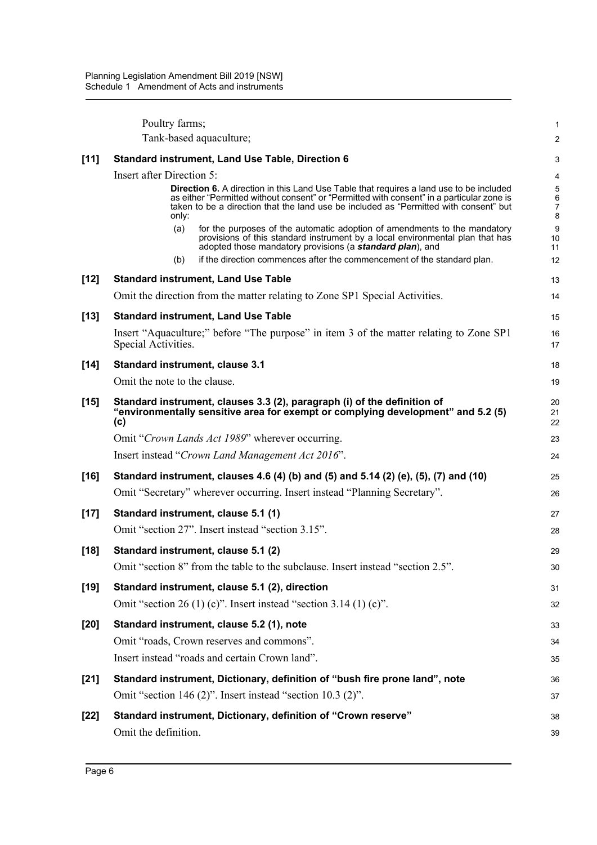|        | Poultry farms;                                                                                                                                                                                                                                                                                | 1                |
|--------|-----------------------------------------------------------------------------------------------------------------------------------------------------------------------------------------------------------------------------------------------------------------------------------------------|------------------|
|        | Tank-based aquaculture;                                                                                                                                                                                                                                                                       | $\overline{2}$   |
| [11]   | <b>Standard instrument, Land Use Table, Direction 6</b>                                                                                                                                                                                                                                       | 3                |
|        | <b>Insert after Direction 5:</b>                                                                                                                                                                                                                                                              | 4                |
|        | <b>Direction 6.</b> A direction in this Land Use Table that requires a land use to be included<br>as either "Permitted without consent" or "Permitted with consent" in a particular zone is<br>taken to be a direction that the land use be included as "Permitted with consent" but<br>only: | 5<br>6<br>7<br>8 |
|        | for the purposes of the automatic adoption of amendments to the mandatory<br>(a)<br>provisions of this standard instrument by a local environmental plan that has<br>adopted those mandatory provisions (a standard plan), and                                                                | 9<br>10<br>11    |
|        | if the direction commences after the commencement of the standard plan.<br>(b)                                                                                                                                                                                                                | 12               |
| $[12]$ | <b>Standard instrument, Land Use Table</b>                                                                                                                                                                                                                                                    | 13               |
|        | Omit the direction from the matter relating to Zone SP1 Special Activities.                                                                                                                                                                                                                   | 14               |
| $[13]$ | <b>Standard instrument, Land Use Table</b>                                                                                                                                                                                                                                                    | 15               |
|        | Insert "Aquaculture;" before "The purpose" in item 3 of the matter relating to Zone SP1<br>Special Activities.                                                                                                                                                                                | 16<br>17         |
| $[14]$ | <b>Standard instrument, clause 3.1</b>                                                                                                                                                                                                                                                        | 18               |
|        | Omit the note to the clause.                                                                                                                                                                                                                                                                  | 19               |
| $[15]$ | Standard instrument, clauses 3.3 (2), paragraph (i) of the definition of<br>"environmentally sensitive area for exempt or complying development" and 5.2 (5)<br>(c)                                                                                                                           | 20<br>21<br>22   |
|        | Omit "Crown Lands Act 1989" wherever occurring.                                                                                                                                                                                                                                               | 23               |
|        | Insert instead "Crown Land Management Act 2016".                                                                                                                                                                                                                                              | 24               |
| $[16]$ | Standard instrument, clauses 4.6 (4) (b) and (5) and 5.14 (2) (e), (5), (7) and (10)                                                                                                                                                                                                          | 25               |
|        | Omit "Secretary" wherever occurring. Insert instead "Planning Secretary".                                                                                                                                                                                                                     | 26               |
| $[17]$ | Standard instrument, clause 5.1 (1)                                                                                                                                                                                                                                                           | 27               |
|        | Omit "section 27". Insert instead "section 3.15".                                                                                                                                                                                                                                             | 28               |
| $[18]$ | Standard instrument, clause 5.1 (2)                                                                                                                                                                                                                                                           | 29               |
|        | Omit "section 8" from the table to the subclause. Insert instead "section 2.5".                                                                                                                                                                                                               | 30               |
| $[19]$ | Standard instrument, clause 5.1 (2), direction                                                                                                                                                                                                                                                | 31               |
|        | Omit "section 26 (1) (c)". Insert instead "section 3.14 (1) (c)".                                                                                                                                                                                                                             | 32               |
| $[20]$ | Standard instrument, clause 5.2 (1), note                                                                                                                                                                                                                                                     | 33               |
|        | Omit "roads, Crown reserves and commons".                                                                                                                                                                                                                                                     | 34               |
|        | Insert instead "roads and certain Crown land".                                                                                                                                                                                                                                                | 35               |
| $[21]$ | Standard instrument, Dictionary, definition of "bush fire prone land", note                                                                                                                                                                                                                   | 36               |
|        | Omit "section 146 (2)". Insert instead "section 10.3 (2)".                                                                                                                                                                                                                                    | 37               |
| $[22]$ | Standard instrument, Dictionary, definition of "Crown reserve"                                                                                                                                                                                                                                | 38               |
|        | Omit the definition.                                                                                                                                                                                                                                                                          | 39               |
|        |                                                                                                                                                                                                                                                                                               |                  |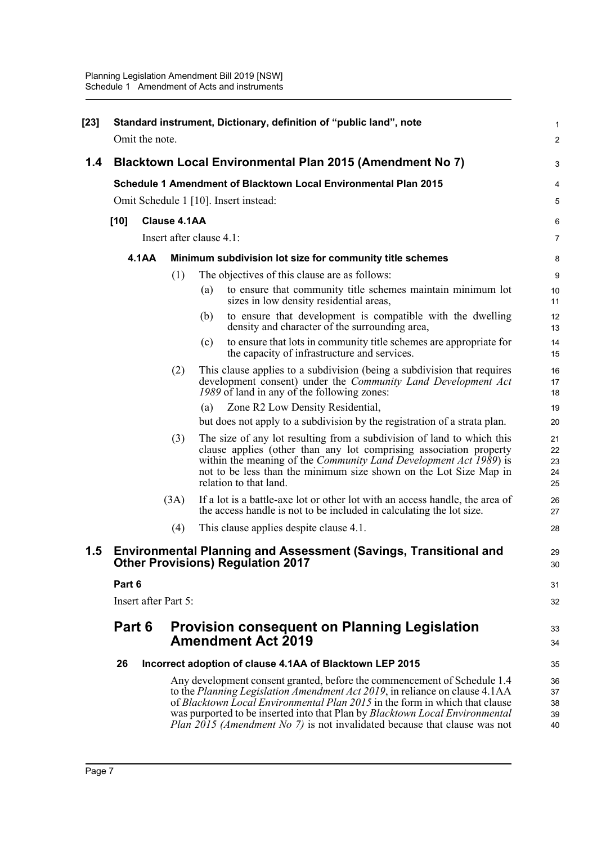| $[23]$ | Omit the note.                                           |                     | Standard instrument, Dictionary, definition of "public land", note                                                                                                                                                                                                                                                                                                                                  | $\mathbf{1}$<br>$\mathbf 2$ |
|--------|----------------------------------------------------------|---------------------|-----------------------------------------------------------------------------------------------------------------------------------------------------------------------------------------------------------------------------------------------------------------------------------------------------------------------------------------------------------------------------------------------------|-----------------------------|
| 1.4    |                                                          |                     |                                                                                                                                                                                                                                                                                                                                                                                                     | 3                           |
|        | Blacktown Local Environmental Plan 2015 (Amendment No 7) |                     |                                                                                                                                                                                                                                                                                                                                                                                                     |                             |
|        |                                                          |                     | Schedule 1 Amendment of Blacktown Local Environmental Plan 2015                                                                                                                                                                                                                                                                                                                                     | 4                           |
|        |                                                          |                     | Omit Schedule 1 [10]. Insert instead:                                                                                                                                                                                                                                                                                                                                                               | 5                           |
|        | $[10]$                                                   | <b>Clause 4.1AA</b> |                                                                                                                                                                                                                                                                                                                                                                                                     | 6                           |
|        |                                                          |                     | Insert after clause 4.1:                                                                                                                                                                                                                                                                                                                                                                            | $\overline{7}$              |
|        | <b>4.1AA</b>                                             |                     | Minimum subdivision lot size for community title schemes                                                                                                                                                                                                                                                                                                                                            | 8                           |
|        |                                                          | (1)                 | The objectives of this clause are as follows:                                                                                                                                                                                                                                                                                                                                                       | 9                           |
|        |                                                          |                     | to ensure that community title schemes maintain minimum lot<br>(a)<br>sizes in low density residential areas,                                                                                                                                                                                                                                                                                       | 10<br>11                    |
|        |                                                          |                     | to ensure that development is compatible with the dwelling<br>(b)<br>density and character of the surrounding area,                                                                                                                                                                                                                                                                                 | 12<br>13                    |
|        |                                                          |                     | to ensure that lots in community title schemes are appropriate for<br>(c)<br>the capacity of infrastructure and services.                                                                                                                                                                                                                                                                           | 14<br>15                    |
|        |                                                          | (2)                 | This clause applies to a subdivision (being a subdivision that requires<br>development consent) under the Community Land Development Act<br>1989 of land in any of the following zones:                                                                                                                                                                                                             | 16<br>17<br>18              |
|        |                                                          |                     | Zone R2 Low Density Residential,<br>(a)                                                                                                                                                                                                                                                                                                                                                             | 19                          |
|        |                                                          |                     | but does not apply to a subdivision by the registration of a strata plan.                                                                                                                                                                                                                                                                                                                           | 20                          |
|        |                                                          | (3)                 | The size of any lot resulting from a subdivision of land to which this<br>clause applies (other than any lot comprising association property<br>within the meaning of the Community Land Development Act 1989) is<br>not to be less than the minimum size shown on the Lot Size Map in<br>relation to that land.                                                                                    | 21<br>22<br>23<br>24<br>25  |
|        |                                                          | (3A)                | If a lot is a battle-axe lot or other lot with an access handle, the area of<br>the access handle is not to be included in calculating the lot size.                                                                                                                                                                                                                                                | 26<br>27                    |
|        |                                                          | (4)                 | This clause applies despite clause 4.1.                                                                                                                                                                                                                                                                                                                                                             | 28                          |
| 1.5    |                                                          |                     | <b>Environmental Planning and Assessment (Savings, Transitional and</b><br><b>Other Provisions) Regulation 2017</b>                                                                                                                                                                                                                                                                                 | 29<br>30                    |
|        | Part 6                                                   |                     |                                                                                                                                                                                                                                                                                                                                                                                                     | 31                          |
|        | Insert after Part 5:                                     |                     |                                                                                                                                                                                                                                                                                                                                                                                                     | 32                          |
|        | Part 6                                                   |                     | <b>Provision consequent on Planning Legislation</b><br><b>Amendment Act 2019</b>                                                                                                                                                                                                                                                                                                                    | 33<br>34                    |
|        | 26                                                       |                     | Incorrect adoption of clause 4.1AA of Blacktown LEP 2015                                                                                                                                                                                                                                                                                                                                            | 35                          |
|        |                                                          |                     | Any development consent granted, before the commencement of Schedule 1.4<br>to the Planning Legislation Amendment Act 2019, in reliance on clause 4.1AA<br>of Blacktown Local Environmental Plan 2015 in the form in which that clause<br>was purported to be inserted into that Plan by Blacktown Local Environmental<br>Plan 2015 (Amendment No 7) is not invalidated because that clause was not | 36<br>37<br>38<br>39<br>40  |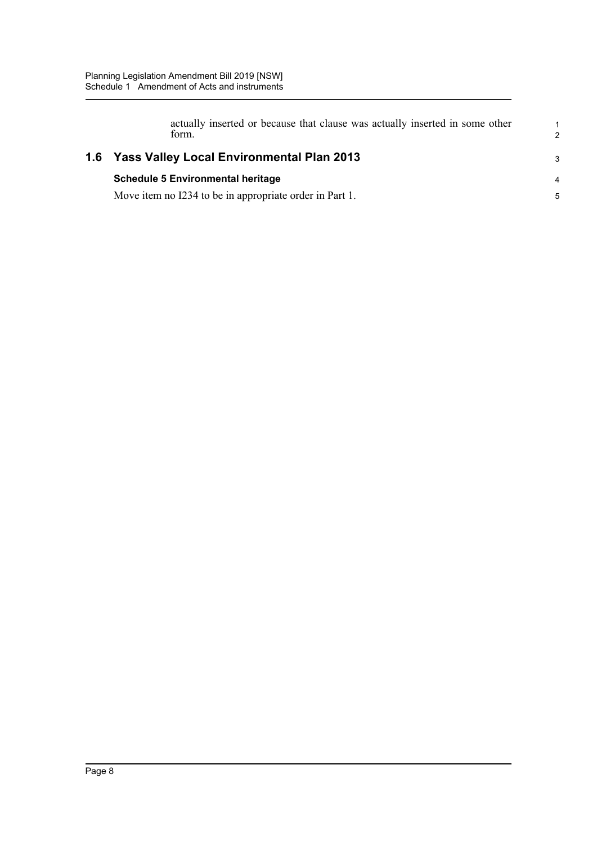| actually inserted or because that clause was actually inserted in some other<br>form. |
|---------------------------------------------------------------------------------------|
| 1.6 Yass Valley Local Environmental Plan 2013                                         |
| <b>Schedule 5 Environmental heritage</b>                                              |
| Move item no I234 to be in appropriate order in Part 1.                               |

1 2

3

4 5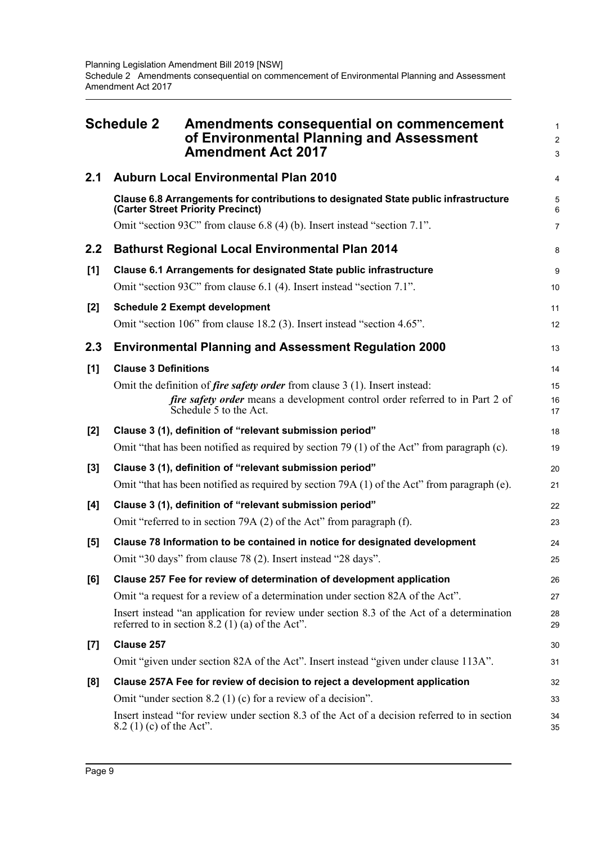<span id="page-12-0"></span>

| <b>Schedule 2</b> |                             | Amendments consequential on commencement<br>of Environmental Planning and Assessment<br><b>Amendment Act 2017</b>                                                                            | $\mathbf{1}$<br>$\overline{2}$<br>3 |
|-------------------|-----------------------------|----------------------------------------------------------------------------------------------------------------------------------------------------------------------------------------------|-------------------------------------|
| 2.1               |                             | <b>Auburn Local Environmental Plan 2010</b>                                                                                                                                                  | $\overline{4}$                      |
|                   |                             | Clause 6.8 Arrangements for contributions to designated State public infrastructure<br>(Carter Street Priority Precinct)                                                                     | 5<br>$6\phantom{1}$                 |
|                   |                             | Omit "section 93C" from clause 6.8 (4) (b). Insert instead "section 7.1".                                                                                                                    | $\overline{7}$                      |
| 2.2               |                             | <b>Bathurst Regional Local Environmental Plan 2014</b>                                                                                                                                       | 8                                   |
| [1]               |                             | Clause 6.1 Arrangements for designated State public infrastructure<br>Omit "section 93C" from clause 6.1 (4). Insert instead "section 7.1".                                                  | $\boldsymbol{9}$<br>10              |
| [2]               |                             | <b>Schedule 2 Exempt development</b>                                                                                                                                                         | 11                                  |
|                   |                             | Omit "section 106" from clause 18.2 (3). Insert instead "section 4.65".                                                                                                                      | 12                                  |
| 2.3               |                             | <b>Environmental Planning and Assessment Regulation 2000</b>                                                                                                                                 | 13                                  |
| [1]               | <b>Clause 3 Definitions</b> |                                                                                                                                                                                              | 14                                  |
|                   |                             | Omit the definition of <i>fire safety order</i> from clause 3 (1). Insert instead:<br>fire safety order means a development control order referred to in Part 2 of<br>Schedule 5 to the Act. | 15<br>16<br>17                      |
| [2]               |                             | Clause 3 (1), definition of "relevant submission period"                                                                                                                                     | 18                                  |
|                   |                             | Omit "that has been notified as required by section 79 (1) of the Act" from paragraph (c).                                                                                                   | 19                                  |
| [3]               |                             | Clause 3 (1), definition of "relevant submission period"                                                                                                                                     | 20                                  |
|                   |                             | Omit "that has been notified as required by section 79A (1) of the Act" from paragraph (e).                                                                                                  | 21                                  |
| [4]               |                             | Clause 3 (1), definition of "relevant submission period"<br>Omit "referred to in section 79A (2) of the Act" from paragraph (f).                                                             | 22<br>23                            |
| [5]               |                             | Clause 78 Information to be contained in notice for designated development<br>Omit "30 days" from clause 78 (2). Insert instead "28 days".                                                   | 24<br>25                            |
| [6]               |                             | Clause 257 Fee for review of determination of development application                                                                                                                        | 26                                  |
|                   |                             | Omit "a request for a review of a determination under section 82A of the Act".                                                                                                               | 27                                  |
|                   |                             | Insert instead "an application for review under section 8.3 of the Act of a determination<br>referred to in section $8.2$ (1) (a) of the Act".                                               | 28<br>29                            |
| $[7]$             | Clause 257                  |                                                                                                                                                                                              | 30                                  |
|                   |                             | Omit "given under section 82A of the Act". Insert instead "given under clause 113A".                                                                                                         | 31                                  |
| [8]               |                             | Clause 257A Fee for review of decision to reject a development application                                                                                                                   | 32                                  |
|                   |                             | Omit "under section $8.2$ (1) (c) for a review of a decision".                                                                                                                               | 33                                  |
|                   | 8.2 (1) (c) of the Act".    | Insert instead "for review under section 8.3 of the Act of a decision referred to in section                                                                                                 | 34<br>35                            |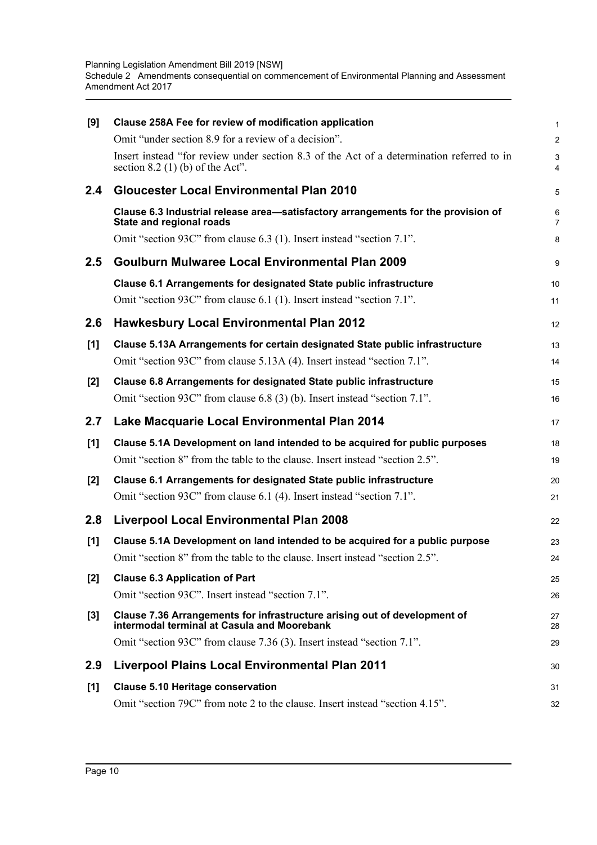| [9]   | Clause 258A Fee for review of modification application                                                                          | 1                   |
|-------|---------------------------------------------------------------------------------------------------------------------------------|---------------------|
|       | Omit "under section 8.9 for a review of a decision".                                                                            | $\overline{a}$      |
|       | Insert instead "for review under section 8.3 of the Act of a determination referred to in<br>section $8.2$ (1) (b) of the Act". | 3<br>4              |
| 2.4   | <b>Gloucester Local Environmental Plan 2010</b>                                                                                 | 5                   |
|       | Clause 6.3 Industrial release area-satisfactory arrangements for the provision of<br><b>State and regional roads</b>            | 6<br>$\overline{7}$ |
|       | Omit "section 93C" from clause 6.3 (1). Insert instead "section 7.1".                                                           | 8                   |
| 2.5   | Goulburn Mulwaree Local Environmental Plan 2009                                                                                 | 9                   |
|       | Clause 6.1 Arrangements for designated State public infrastructure                                                              | 10                  |
|       | Omit "section 93C" from clause 6.1 (1). Insert instead "section 7.1".                                                           | 11                  |
| 2.6   | <b>Hawkesbury Local Environmental Plan 2012</b>                                                                                 | 12                  |
| [1]   | Clause 5.13A Arrangements for certain designated State public infrastructure                                                    | 13                  |
|       | Omit "section 93C" from clause 5.13A (4). Insert instead "section 7.1".                                                         | 14                  |
| $[2]$ | Clause 6.8 Arrangements for designated State public infrastructure                                                              | 15                  |
|       | Omit "section 93C" from clause 6.8 (3) (b). Insert instead "section 7.1".                                                       | 16                  |
| 2.7   | Lake Macquarie Local Environmental Plan 2014                                                                                    | 17                  |
| $[1]$ | Clause 5.1A Development on land intended to be acquired for public purposes                                                     | 18                  |
|       | Omit "section 8" from the table to the clause. Insert instead "section 2.5".                                                    | 19                  |
| [2]   | Clause 6.1 Arrangements for designated State public infrastructure                                                              | 20                  |
|       | Omit "section 93C" from clause 6.1 (4). Insert instead "section 7.1".                                                           | 21                  |
| 2.8   | <b>Liverpool Local Environmental Plan 2008</b>                                                                                  | 22                  |
| [1]   | Clause 5.1A Development on land intended to be acquired for a public purpose                                                    | 23                  |
|       | Omit "section 8" from the table to the clause. Insert instead "section 2.5".                                                    | 24                  |
| $[2]$ | <b>Clause 6.3 Application of Part</b>                                                                                           | 25                  |
|       | Omit "section 93C". Insert instead "section 7.1".                                                                               | 26                  |
| [3]   | Clause 7.36 Arrangements for infrastructure arising out of development of<br>intermodal terminal at Casula and Moorebank        | 27<br>28            |
|       | Omit "section 93C" from clause 7.36 (3). Insert instead "section 7.1".                                                          | 29                  |
| 2.9   | <b>Liverpool Plains Local Environmental Plan 2011</b>                                                                           | 30                  |
| [1]   | <b>Clause 5.10 Heritage conservation</b>                                                                                        | 31                  |
|       | Omit "section 79C" from note 2 to the clause. Insert instead "section 4.15".                                                    | 32                  |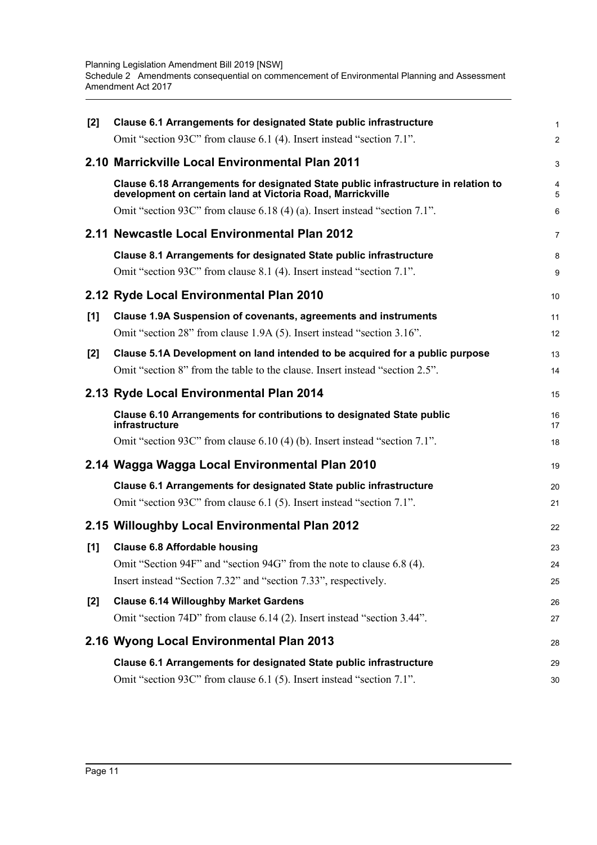| $[2]$ | Clause 6.1 Arrangements for designated State public infrastructure                                                                                           | 1              |
|-------|--------------------------------------------------------------------------------------------------------------------------------------------------------------|----------------|
|       | Omit "section 93C" from clause 6.1 (4). Insert instead "section 7.1".                                                                                        | $\overline{2}$ |
|       | 2.10 Marrickville Local Environmental Plan 2011                                                                                                              | 3              |
|       | Clause 6.18 Arrangements for designated State public infrastructure in relation to<br>development on certain land at Victoria Road, Marrickville             | 4<br>5         |
|       | Omit "section 93C" from clause 6.18 (4) (a). Insert instead "section 7.1".                                                                                   | 6              |
|       | 2.11 Newcastle Local Environmental Plan 2012                                                                                                                 | 7              |
|       | Clause 8.1 Arrangements for designated State public infrastructure<br>Omit "section 93C" from clause 8.1 (4). Insert instead "section 7.1".                  | 8<br>9         |
|       | 2.12 Ryde Local Environmental Plan 2010                                                                                                                      | 10             |
| $[1]$ | Clause 1.9A Suspension of covenants, agreements and instruments<br>Omit "section 28" from clause 1.9A (5). Insert instead "section 3.16".                    | 11<br>12       |
| $[2]$ | Clause 5.1A Development on land intended to be acquired for a public purpose<br>Omit "section 8" from the table to the clause. Insert instead "section 2.5". | 13<br>14       |
|       | 2.13 Ryde Local Environmental Plan 2014                                                                                                                      | 15             |
|       | Clause 6.10 Arrangements for contributions to designated State public<br>infrastructure                                                                      | 16<br>17       |
|       | Omit "section 93C" from clause 6.10 (4) (b). Insert instead "section 7.1".                                                                                   | 18             |
|       | 2.14 Wagga Wagga Local Environmental Plan 2010                                                                                                               | 19             |
|       | Clause 6.1 Arrangements for designated State public infrastructure                                                                                           | 20             |
|       | Omit "section 93C" from clause 6.1 (5). Insert instead "section 7.1".                                                                                        | 21             |
|       | 2.15 Willoughby Local Environmental Plan 2012                                                                                                                | 22             |
| [1]   | <b>Clause 6.8 Affordable housing</b>                                                                                                                         | 23             |
|       | Omit "Section 94F" and "section 94G" from the note to clause 6.8 (4).                                                                                        | 24             |
|       | Insert instead "Section 7.32" and "section 7.33", respectively.                                                                                              | 25             |
| [2]   | <b>Clause 6.14 Willoughby Market Gardens</b><br>Omit "section 74D" from clause 6.14 (2). Insert instead "section 3.44".                                      | 26<br>27       |
|       | 2.16 Wyong Local Environmental Plan 2013                                                                                                                     | 28             |
|       | Clause 6.1 Arrangements for designated State public infrastructure                                                                                           | 29             |
|       | Omit "section 93C" from clause 6.1 (5). Insert instead "section 7.1".                                                                                        | 30             |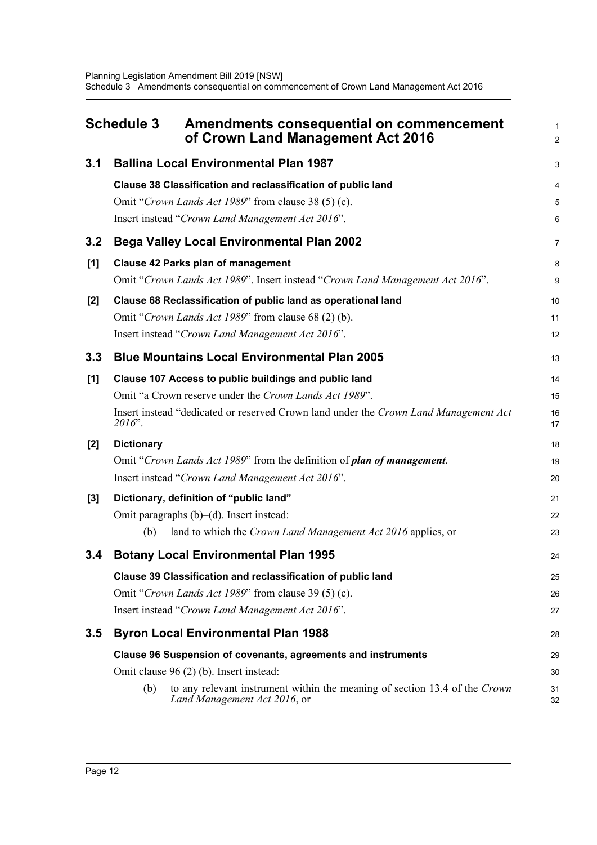<span id="page-15-0"></span>

| 3.1<br><b>Ballina Local Environmental Plan 1987</b><br>Clause 38 Classification and reclassification of public land<br>Omit "Crown Lands Act 1989" from clause 38 (5) (c).<br>Insert instead "Crown Land Management Act 2016".<br><b>Bega Valley Local Environmental Plan 2002</b><br>3.2<br><b>Clause 42 Parks plan of management</b><br>[1]<br>Omit "Crown Lands Act 1989". Insert instead "Crown Land Management Act 2016".<br>Clause 68 Reclassification of public land as operational land<br>$[2]$<br>Omit "Crown Lands Act 1989" from clause 68 (2) (b).<br>Insert instead "Crown Land Management Act 2016".<br><b>Blue Mountains Local Environmental Plan 2005</b><br>3.3<br>[1]<br>Clause 107 Access to public buildings and public land<br>Omit "a Crown reserve under the Crown Lands Act 1989".<br>Insert instead "dedicated or reserved Crown land under the Crown Land Management Act<br>$2016$ ".<br><b>Dictionary</b><br>$[2]$<br>Omit "Crown Lands Act 1989" from the definition of plan of management.<br>Insert instead "Crown Land Management Act 2016".<br>Dictionary, definition of "public land"<br>$[3]$<br>Omit paragraphs $(b)$ – $(d)$ . Insert instead:<br>(b)<br>land to which the <i>Crown Land Management Act 2016</i> applies, or<br><b>Botany Local Environmental Plan 1995</b><br>3.4<br>Clause 39 Classification and reclassification of public land<br>Omit "Crown Lands Act 1989" from clause 39 (5) (c).<br>Insert instead "Crown Land Management Act 2016".<br><b>Byron Local Environmental Plan 1988</b><br>3.5<br><b>Clause 96 Suspension of covenants, agreements and instruments</b><br>Omit clause 96 (2) (b). Insert instead:<br>(b)<br>to any relevant instrument within the meaning of section 13.4 of the Crown | <b>Schedule 3</b> |  | Amendments consequential on commencement<br>of Crown Land Management Act 2016 | 1<br>$\overline{2}$  |
|-----------------------------------------------------------------------------------------------------------------------------------------------------------------------------------------------------------------------------------------------------------------------------------------------------------------------------------------------------------------------------------------------------------------------------------------------------------------------------------------------------------------------------------------------------------------------------------------------------------------------------------------------------------------------------------------------------------------------------------------------------------------------------------------------------------------------------------------------------------------------------------------------------------------------------------------------------------------------------------------------------------------------------------------------------------------------------------------------------------------------------------------------------------------------------------------------------------------------------------------------------------------------------------------------------------------------------------------------------------------------------------------------------------------------------------------------------------------------------------------------------------------------------------------------------------------------------------------------------------------------------------------------------------------------------------------------------------------------------------------------------------------|-------------------|--|-------------------------------------------------------------------------------|----------------------|
|                                                                                                                                                                                                                                                                                                                                                                                                                                                                                                                                                                                                                                                                                                                                                                                                                                                                                                                                                                                                                                                                                                                                                                                                                                                                                                                                                                                                                                                                                                                                                                                                                                                                                                                                                                 |                   |  |                                                                               | 3                    |
|                                                                                                                                                                                                                                                                                                                                                                                                                                                                                                                                                                                                                                                                                                                                                                                                                                                                                                                                                                                                                                                                                                                                                                                                                                                                                                                                                                                                                                                                                                                                                                                                                                                                                                                                                                 |                   |  |                                                                               | 4<br>5<br>6          |
|                                                                                                                                                                                                                                                                                                                                                                                                                                                                                                                                                                                                                                                                                                                                                                                                                                                                                                                                                                                                                                                                                                                                                                                                                                                                                                                                                                                                                                                                                                                                                                                                                                                                                                                                                                 |                   |  |                                                                               | 7                    |
|                                                                                                                                                                                                                                                                                                                                                                                                                                                                                                                                                                                                                                                                                                                                                                                                                                                                                                                                                                                                                                                                                                                                                                                                                                                                                                                                                                                                                                                                                                                                                                                                                                                                                                                                                                 |                   |  |                                                                               | 8<br>9               |
|                                                                                                                                                                                                                                                                                                                                                                                                                                                                                                                                                                                                                                                                                                                                                                                                                                                                                                                                                                                                                                                                                                                                                                                                                                                                                                                                                                                                                                                                                                                                                                                                                                                                                                                                                                 |                   |  |                                                                               | 10<br>11<br>12       |
|                                                                                                                                                                                                                                                                                                                                                                                                                                                                                                                                                                                                                                                                                                                                                                                                                                                                                                                                                                                                                                                                                                                                                                                                                                                                                                                                                                                                                                                                                                                                                                                                                                                                                                                                                                 |                   |  |                                                                               | 13                   |
|                                                                                                                                                                                                                                                                                                                                                                                                                                                                                                                                                                                                                                                                                                                                                                                                                                                                                                                                                                                                                                                                                                                                                                                                                                                                                                                                                                                                                                                                                                                                                                                                                                                                                                                                                                 |                   |  |                                                                               | 14<br>15<br>16<br>17 |
|                                                                                                                                                                                                                                                                                                                                                                                                                                                                                                                                                                                                                                                                                                                                                                                                                                                                                                                                                                                                                                                                                                                                                                                                                                                                                                                                                                                                                                                                                                                                                                                                                                                                                                                                                                 |                   |  |                                                                               | 18<br>19<br>20       |
|                                                                                                                                                                                                                                                                                                                                                                                                                                                                                                                                                                                                                                                                                                                                                                                                                                                                                                                                                                                                                                                                                                                                                                                                                                                                                                                                                                                                                                                                                                                                                                                                                                                                                                                                                                 |                   |  |                                                                               | 21<br>22<br>23       |
|                                                                                                                                                                                                                                                                                                                                                                                                                                                                                                                                                                                                                                                                                                                                                                                                                                                                                                                                                                                                                                                                                                                                                                                                                                                                                                                                                                                                                                                                                                                                                                                                                                                                                                                                                                 |                   |  |                                                                               | 24                   |
|                                                                                                                                                                                                                                                                                                                                                                                                                                                                                                                                                                                                                                                                                                                                                                                                                                                                                                                                                                                                                                                                                                                                                                                                                                                                                                                                                                                                                                                                                                                                                                                                                                                                                                                                                                 |                   |  |                                                                               | 25<br>26<br>27       |
|                                                                                                                                                                                                                                                                                                                                                                                                                                                                                                                                                                                                                                                                                                                                                                                                                                                                                                                                                                                                                                                                                                                                                                                                                                                                                                                                                                                                                                                                                                                                                                                                                                                                                                                                                                 |                   |  |                                                                               | 28                   |
|                                                                                                                                                                                                                                                                                                                                                                                                                                                                                                                                                                                                                                                                                                                                                                                                                                                                                                                                                                                                                                                                                                                                                                                                                                                                                                                                                                                                                                                                                                                                                                                                                                                                                                                                                                 |                   |  | Land Management Act 2016, or                                                  | 29<br>30<br>31<br>32 |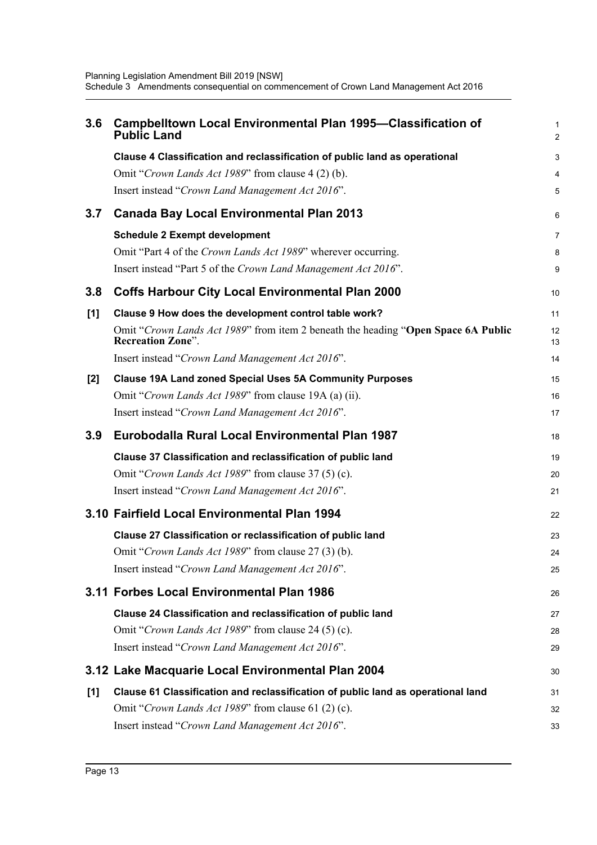| 3.6   | <b>Campbelltown Local Environmental Plan 1995-Classification of</b><br><b>Public Land</b>                     | 1<br>$\overline{a}$ |
|-------|---------------------------------------------------------------------------------------------------------------|---------------------|
|       | Clause 4 Classification and reclassification of public land as operational                                    | 3                   |
|       | Omit "Crown Lands Act 1989" from clause 4 (2) (b).                                                            | 4                   |
|       | Insert instead "Crown Land Management Act 2016".                                                              | 5                   |
| 3.7   | <b>Canada Bay Local Environmental Plan 2013</b>                                                               | 6                   |
|       | <b>Schedule 2 Exempt development</b>                                                                          | 7                   |
|       | Omit "Part 4 of the Crown Lands Act 1989" wherever occurring.                                                 | 8                   |
|       | Insert instead "Part 5 of the Crown Land Management Act 2016".                                                | 9                   |
| 3.8   | <b>Coffs Harbour City Local Environmental Plan 2000</b>                                                       | 10                  |
| [1]   | Clause 9 How does the development control table work?                                                         | 11                  |
|       | Omit "Crown Lands Act 1989" from item 2 beneath the heading "Open Space 6A Public<br><b>Recreation Zone".</b> | 12<br>13            |
|       | Insert instead "Crown Land Management Act 2016".                                                              | 14                  |
| $[2]$ | <b>Clause 19A Land zoned Special Uses 5A Community Purposes</b>                                               | 15                  |
|       | Omit "Crown Lands Act 1989" from clause 19A (a) (ii).                                                         | 16                  |
|       | Insert instead "Crown Land Management Act 2016".                                                              | 17                  |
|       |                                                                                                               |                     |
| 3.9   | Eurobodalla Rural Local Environmental Plan 1987                                                               | 18                  |
|       | Clause 37 Classification and reclassification of public land                                                  | 19                  |
|       | Omit "Crown Lands Act 1989" from clause 37 (5) (c).                                                           | 20                  |
|       | Insert instead "Crown Land Management Act 2016".                                                              | 21                  |
|       | 3.10 Fairfield Local Environmental Plan 1994                                                                  | 22                  |
|       | Clause 27 Classification or reclassification of public land                                                   | 23                  |
|       | Omit "Crown Lands Act 1989" from clause 27 (3) (b).                                                           | 24                  |
|       | Insert instead "Crown Land Management Act 2016".                                                              | 25                  |
|       | 3.11 Forbes Local Environmental Plan 1986                                                                     | 26                  |
|       | Clause 24 Classification and reclassification of public land                                                  | 27                  |
|       | Omit "Crown Lands Act 1989" from clause 24 (5) (c).                                                           | 28                  |
|       | Insert instead "Crown Land Management Act 2016".                                                              | 29                  |
|       | 3.12 Lake Macquarie Local Environmental Plan 2004                                                             | 30                  |
| [1]   | Clause 61 Classification and reclassification of public land as operational land                              | 31                  |
|       | Omit "Crown Lands Act 1989" from clause 61 (2) (c).                                                           | 32                  |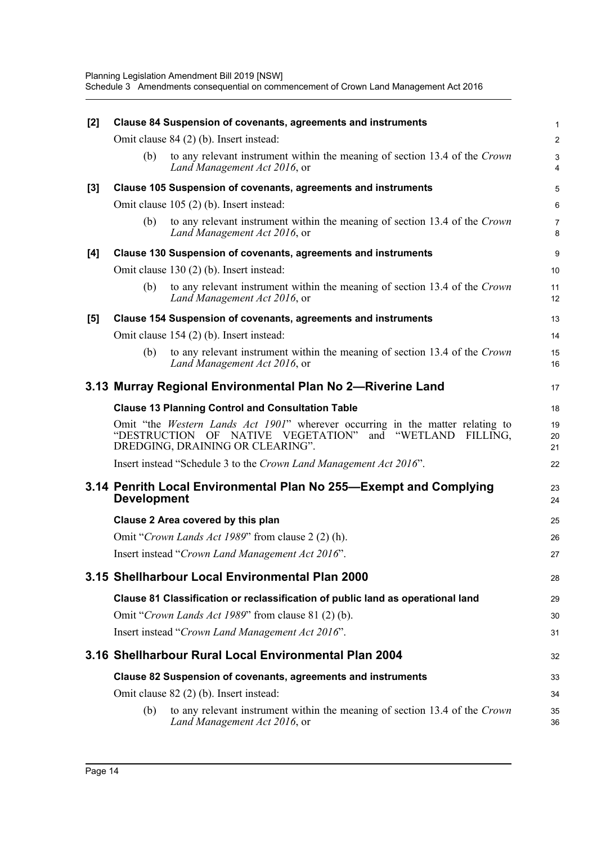| [2] |                    | Clause 84 Suspension of covenants, agreements and instruments                                                                                                                                   | $\mathbf{1}$        |
|-----|--------------------|-------------------------------------------------------------------------------------------------------------------------------------------------------------------------------------------------|---------------------|
|     |                    | Omit clause 84 (2) (b). Insert instead:                                                                                                                                                         | $\overline{c}$      |
|     | (b)                | to any relevant instrument within the meaning of section 13.4 of the Crown<br>Land Management Act 2016, or                                                                                      | $\mathbf{3}$<br>4   |
| [3] |                    | Clause 105 Suspension of covenants, agreements and instruments                                                                                                                                  | 5                   |
|     |                    | Omit clause 105 (2) (b). Insert instead:                                                                                                                                                        | $6\phantom{1}6$     |
|     | (b)                | to any relevant instrument within the meaning of section 13.4 of the Crown<br>Land Management Act 2016, or                                                                                      | $\overline{7}$<br>8 |
| [4] |                    | Clause 130 Suspension of covenants, agreements and instruments                                                                                                                                  | 9                   |
|     |                    | Omit clause 130 (2) (b). Insert instead:                                                                                                                                                        | 10                  |
|     | (b)                | to any relevant instrument within the meaning of section 13.4 of the Crown<br>Land Management Act 2016, or                                                                                      | 11<br>12            |
| [5] |                    | Clause 154 Suspension of covenants, agreements and instruments                                                                                                                                  | 13                  |
|     |                    | Omit clause 154 (2) (b). Insert instead:                                                                                                                                                        | 14                  |
|     | (b)                | to any relevant instrument within the meaning of section 13.4 of the Crown<br>Land Management Act 2016, or                                                                                      | 15<br>16            |
|     |                    | 3.13 Murray Regional Environmental Plan No 2-Riverine Land                                                                                                                                      | 17                  |
|     |                    | <b>Clause 13 Planning Control and Consultation Table</b>                                                                                                                                        | 18                  |
|     |                    | Omit "the <i>Western Lands Act 1901</i> " wherever occurring in the matter relating to<br>"DESTRUCTION OF NATIVE VEGETATION"<br>and<br>"WETLAND<br>FILLING,<br>DREDGING, DRAINING OR CLEARING". | 19<br>20<br>21      |
|     |                    | Insert instead "Schedule 3 to the Crown Land Management Act 2016".                                                                                                                              | 22                  |
|     | <b>Development</b> | 3.14 Penrith Local Environmental Plan No 255—Exempt and Complying                                                                                                                               | 23<br>24            |
|     |                    | Clause 2 Area covered by this plan                                                                                                                                                              | 25                  |
|     |                    | Omit "Crown Lands Act 1989" from clause 2 (2) (h).                                                                                                                                              | 26                  |
|     |                    | Insert instead "Crown Land Management Act 2016".                                                                                                                                                | 27                  |
|     |                    | 3.15 Shellharbour Local Environmental Plan 2000                                                                                                                                                 | 28                  |
|     |                    | Clause 81 Classification or reclassification of public land as operational land                                                                                                                 | 29                  |
|     |                    | Omit "Crown Lands Act 1989" from clause 81 (2) (b).                                                                                                                                             | 30                  |
|     |                    | Insert instead "Crown Land Management Act 2016".                                                                                                                                                | 31                  |
|     |                    | 3.16 Shellharbour Rural Local Environmental Plan 2004                                                                                                                                           | 32                  |
|     |                    | Clause 82 Suspension of covenants, agreements and instruments                                                                                                                                   | 33                  |
|     |                    | Omit clause 82 (2) (b). Insert instead:                                                                                                                                                         | 34                  |
|     | (b)                | to any relevant instrument within the meaning of section 13.4 of the Crown<br>Land Management Act 2016, or                                                                                      | 35<br>36            |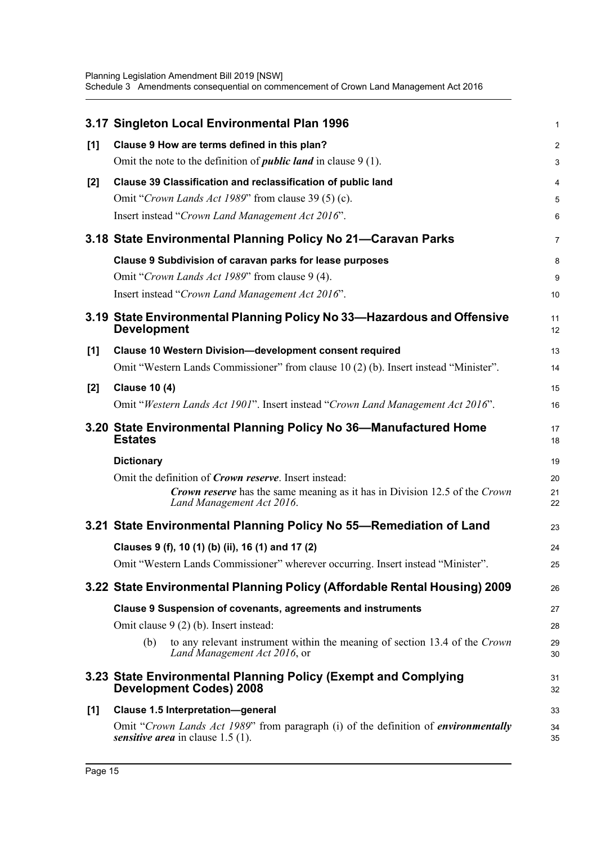|       | 3.17 Singleton Local Environmental Plan 1996                                                                               | 1              |
|-------|----------------------------------------------------------------------------------------------------------------------------|----------------|
| $[1]$ | Clause 9 How are terms defined in this plan?                                                                               | $\overline{a}$ |
|       | Omit the note to the definition of <i>public land</i> in clause $9(1)$ .                                                   | 3              |
| $[2]$ | Clause 39 Classification and reclassification of public land                                                               | 4              |
|       | Omit "Crown Lands Act 1989" from clause 39 (5) (c).                                                                        | 5              |
|       | Insert instead "Crown Land Management Act 2016".                                                                           | 6              |
|       | 3.18 State Environmental Planning Policy No 21-Caravan Parks                                                               | 7              |
|       | Clause 9 Subdivision of caravan parks for lease purposes                                                                   | 8              |
|       | Omit "Crown Lands Act 1989" from clause 9 (4).                                                                             | 9              |
|       | Insert instead "Crown Land Management Act 2016".                                                                           | 10             |
|       | 3.19 State Environmental Planning Policy No 33-Hazardous and Offensive<br><b>Development</b>                               | 11<br>12       |
| [1]   | <b>Clause 10 Western Division-development consent required</b>                                                             | 13             |
|       | Omit "Western Lands Commissioner" from clause 10 (2) (b). Insert instead "Minister".                                       | 14             |
| $[2]$ | <b>Clause 10 (4)</b>                                                                                                       | 15             |
|       | Omit "Western Lands Act 1901". Insert instead "Crown Land Management Act 2016".                                            | 16             |
|       | 3.20 State Environmental Planning Policy No 36-Manufactured Home<br><b>Estates</b>                                         | 17<br>18       |
|       | <b>Dictionary</b>                                                                                                          | 19             |
|       | Omit the definition of <i>Crown reserve</i> . Insert instead:                                                              | 20             |
|       | <b>Crown reserve</b> has the same meaning as it has in Division 12.5 of the Crown<br>Land Management Act 2016.             | 21<br>22       |
|       | 3.21 State Environmental Planning Policy No 55-Remediation of Land                                                         | 23             |
|       | Clauses 9 (f), 10 (1) (b) (ii), 16 (1) and 17 (2)                                                                          | 24             |
|       | Omit "Western Lands Commissioner" wherever occurring. Insert instead "Minister".                                           | 25             |
|       | 3.22 State Environmental Planning Policy (Affordable Rental Housing) 2009                                                  | 26             |
|       | <b>Clause 9 Suspension of covenants, agreements and instruments</b>                                                        | 27             |
|       | Omit clause 9 (2) (b). Insert instead:                                                                                     | 28             |
|       | to any relevant instrument within the meaning of section 13.4 of the Crown<br>(b)<br>Land Management Act 2016, or          | 29<br>30       |
|       | 3.23 State Environmental Planning Policy (Exempt and Complying<br><b>Development Codes) 2008</b>                           | 31<br>32       |
| [1]   | <b>Clause 1.5 Interpretation-general</b>                                                                                   | 33             |
|       | Omit "Crown Lands Act 1989" from paragraph (i) of the definition of environmentally<br>sensitive area in clause $1.5$ (1). | 34<br>35       |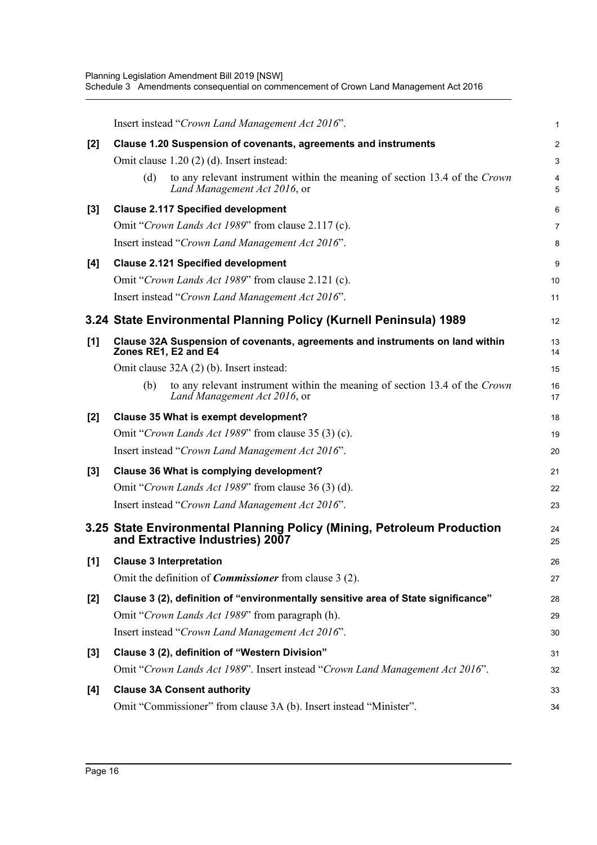|       | Insert instead "Crown Land Management Act 2016".                                                                  | 1              |
|-------|-------------------------------------------------------------------------------------------------------------------|----------------|
| $[2]$ | Clause 1.20 Suspension of covenants, agreements and instruments                                                   | $\overline{a}$ |
|       | Omit clause 1.20 (2) (d). Insert instead:                                                                         | 3              |
|       | to any relevant instrument within the meaning of section 13.4 of the Crown<br>(d)<br>Land Management Act 2016, or | 4<br>5         |
| $[3]$ | <b>Clause 2.117 Specified development</b>                                                                         | 6              |
|       | Omit "Crown Lands Act 1989" from clause 2.117 (c).                                                                | 7              |
|       | Insert instead "Crown Land Management Act 2016".                                                                  | 8              |
| [4]   | <b>Clause 2.121 Specified development</b>                                                                         | 9              |
|       | Omit "Crown Lands Act 1989" from clause 2.121 (c).                                                                | 10             |
|       | Insert instead "Crown Land Management Act 2016".                                                                  | 11             |
|       | 3.24 State Environmental Planning Policy (Kurnell Peninsula) 1989                                                 | 12             |
| [1]   | Clause 32A Suspension of covenants, agreements and instruments on land within<br>Zones RE1, E2 and E4             | 13<br>14       |
|       | Omit clause 32A (2) (b). Insert instead:                                                                          | 15             |
|       | (b)<br>to any relevant instrument within the meaning of section 13.4 of the Crown<br>Land Management Act 2016, or | 16<br>17       |
| $[2]$ | Clause 35 What is exempt development?                                                                             | 18             |
|       | Omit "Crown Lands Act 1989" from clause 35 (3) (c).                                                               | 19             |
|       | Insert instead "Crown Land Management Act 2016".                                                                  | 20             |
| $[3]$ | Clause 36 What is complying development?                                                                          | 21             |
|       | Omit "Crown Lands Act 1989" from clause 36 (3) (d).                                                               | 22             |
|       | Insert instead "Crown Land Management Act 2016".                                                                  | 23             |
|       | 3.25 State Environmental Planning Policy (Mining, Petroleum Production<br>and Extractive Industries) 2007         | 24<br>25       |
| [1]   | <b>Clause 3 Interpretation</b>                                                                                    | 26             |
|       | Omit the definition of <i>Commissioner</i> from clause 3 (2).                                                     | 27             |
| [2]   | Clause 3 (2), definition of "environmentally sensitive area of State significance"                                | 28             |
|       | Omit "Crown Lands Act 1989" from paragraph (h).                                                                   | 29             |
|       | Insert instead "Crown Land Management Act 2016".                                                                  | 30             |
| [3]   | Clause 3 (2), definition of "Western Division"                                                                    | 31             |
|       | Omit "Crown Lands Act 1989". Insert instead "Crown Land Management Act 2016".                                     | 32             |
| [4]   | <b>Clause 3A Consent authority</b>                                                                                | 33             |
|       | Omit "Commissioner" from clause 3A (b). Insert instead "Minister".                                                | 34             |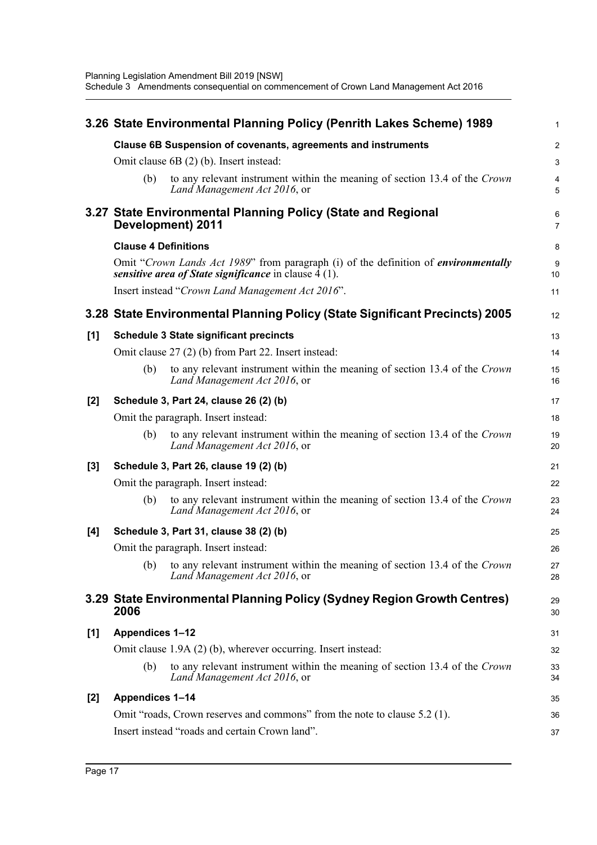|       |                             | 3.26 State Environmental Planning Policy (Penrith Lakes Scheme) 1989                                                                                               | $\mathbf{1}$        |
|-------|-----------------------------|--------------------------------------------------------------------------------------------------------------------------------------------------------------------|---------------------|
|       |                             | Clause 6B Suspension of covenants, agreements and instruments                                                                                                      | $\overline{2}$      |
|       |                             | Omit clause $6B(2)$ (b). Insert instead:                                                                                                                           | $\mathbf{3}$        |
|       | (b)                         | to any relevant instrument within the meaning of section 13.4 of the Crown<br>Land Management Act 2016, or                                                         | 4<br>5              |
|       |                             | 3.27 State Environmental Planning Policy (State and Regional<br>Development) 2011                                                                                  | 6<br>$\overline{7}$ |
|       | <b>Clause 4 Definitions</b> |                                                                                                                                                                    | 8                   |
|       |                             | Omit "Crown Lands Act 1989" from paragraph (i) of the definition of <i>environmentally</i><br><i>sensitive area of State significance</i> in clause $\bar{4}$ (1). | $9\,$<br>10         |
|       |                             | Insert instead "Crown Land Management Act 2016".                                                                                                                   | 11                  |
|       |                             | 3.28 State Environmental Planning Policy (State Significant Precincts) 2005                                                                                        | 12                  |
| [1]   |                             | <b>Schedule 3 State significant precincts</b>                                                                                                                      | 13                  |
|       |                             | Omit clause 27 (2) (b) from Part 22. Insert instead:                                                                                                               | 14                  |
|       | (b)                         | to any relevant instrument within the meaning of section 13.4 of the Crown<br>Land Management Act 2016, or                                                         | 15<br>16            |
| $[2]$ |                             | Schedule 3, Part 24, clause 26 (2) (b)                                                                                                                             | 17                  |
|       |                             | Omit the paragraph. Insert instead:                                                                                                                                | 18                  |
|       | (b)                         | to any relevant instrument within the meaning of section 13.4 of the Crown<br>Land Management Act 2016, or                                                         | 19<br>20            |
| $[3]$ |                             | Schedule 3, Part 26, clause 19 (2) (b)                                                                                                                             | 21                  |
|       |                             | Omit the paragraph. Insert instead:                                                                                                                                | 22                  |
|       | (b)                         | to any relevant instrument within the meaning of section 13.4 of the Crown<br>Land Management Act 2016, or                                                         | 23<br>24            |
| [4]   |                             | Schedule 3, Part 31, clause 38 (2) (b)                                                                                                                             | 25                  |
|       |                             | Omit the paragraph. Insert instead:                                                                                                                                | 26                  |
|       |                             | (b) to any relevant instrument within the meaning of section 13.4 of the Crown<br>Land Management Act 2016, or                                                     | $27\,$<br>28        |
|       | 2006                        | 3.29 State Environmental Planning Policy (Sydney Region Growth Centres)                                                                                            | 29<br>30            |
| [1]   | <b>Appendices 1-12</b>      |                                                                                                                                                                    | 31                  |
|       |                             | Omit clause 1.9A (2) (b), wherever occurring. Insert instead:                                                                                                      | 32                  |
|       | (b)                         | to any relevant instrument within the meaning of section 13.4 of the Crown<br>Land Management Act 2016, or                                                         | 33<br>34            |
| [2]   | <b>Appendices 1-14</b>      |                                                                                                                                                                    | 35                  |
|       |                             | Omit "roads, Crown reserves and commons" from the note to clause 5.2 (1).                                                                                          | 36                  |
|       |                             | Insert instead "roads and certain Crown land".                                                                                                                     | 37                  |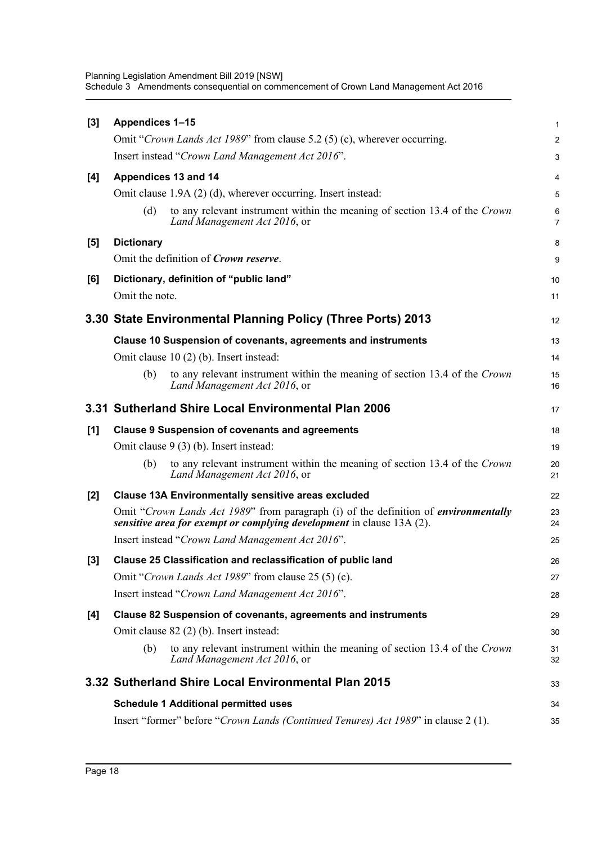Planning Legislation Amendment Bill 2019 [NSW] Schedule 3 Amendments consequential on commencement of Crown Land Management Act 2016

| $[3]$ | <b>Appendices 1-15</b> |                                                                                                                                                                     | $\mathbf{1}$        |
|-------|------------------------|---------------------------------------------------------------------------------------------------------------------------------------------------------------------|---------------------|
|       |                        | Omit "Crown Lands Act 1989" from clause 5.2 (5) (c), wherever occurring.                                                                                            | $\overline{2}$      |
|       |                        | Insert instead "Crown Land Management Act 2016".                                                                                                                    | 3                   |
| [4]   | Appendices 13 and 14   |                                                                                                                                                                     | 4                   |
|       |                        | Omit clause 1.9A (2) (d), wherever occurring. Insert instead:                                                                                                       | 5                   |
|       | (d)                    | to any relevant instrument within the meaning of section 13.4 of the Crown<br>Land Management Act 2016, or                                                          | 6<br>$\overline{7}$ |
| [5]   | <b>Dictionary</b>      |                                                                                                                                                                     | 8                   |
|       |                        | Omit the definition of <i>Crown reserve</i> .                                                                                                                       | 9                   |
| [6]   |                        | Dictionary, definition of "public land"                                                                                                                             | 10                  |
|       | Omit the note.         |                                                                                                                                                                     | 11                  |
|       |                        | 3.30 State Environmental Planning Policy (Three Ports) 2013                                                                                                         | 12                  |
|       |                        | Clause 10 Suspension of covenants, agreements and instruments                                                                                                       | 13                  |
|       |                        | Omit clause $10(2)$ (b). Insert instead:                                                                                                                            | 14                  |
|       | (b)                    | to any relevant instrument within the meaning of section 13.4 of the Crown<br>Land Management Act 2016, or                                                          | 15<br>16            |
|       |                        | 3.31 Sutherland Shire Local Environmental Plan 2006                                                                                                                 | 17                  |
| [1]   |                        | <b>Clause 9 Suspension of covenants and agreements</b>                                                                                                              | 18                  |
|       |                        | Omit clause 9 (3) (b). Insert instead:                                                                                                                              | 19                  |
|       | (b)                    | to any relevant instrument within the meaning of section 13.4 of the Crown<br>Land Management Act 2016, or                                                          | 20<br>21            |
| [2]   |                        | <b>Clause 13A Environmentally sensitive areas excluded</b>                                                                                                          | 22                  |
|       |                        | Omit "Crown Lands Act 1989" from paragraph (i) of the definition of <i>environmentally</i><br>sensitive area for exempt or complying development in clause 13A (2). | 23<br>24            |
|       |                        | Insert instead "Crown Land Management Act 2016".                                                                                                                    | 25                  |
| $[3]$ |                        | Clause 25 Classification and reclassification of public land                                                                                                        | 26                  |
|       |                        | Omit "Crown Lands Act 1989" from clause 25 (5) (c).                                                                                                                 | 27                  |
|       |                        | Insert instead "Crown Land Management Act 2016".                                                                                                                    | 28                  |
| $[4]$ |                        | Clause 82 Suspension of covenants, agreements and instruments                                                                                                       | 29                  |
|       |                        | Omit clause 82 (2) (b). Insert instead:                                                                                                                             | 30                  |
|       | (b)                    | to any relevant instrument within the meaning of section 13.4 of the Crown<br>Land Management Act 2016, or                                                          | 31<br>32            |
|       |                        | 3.32 Sutherland Shire Local Environmental Plan 2015                                                                                                                 | 33                  |
|       |                        | <b>Schedule 1 Additional permitted uses</b>                                                                                                                         | 34                  |
|       |                        | Insert "former" before "Crown Lands (Continued Tenures) Act 1989" in clause 2 (1).                                                                                  | 35                  |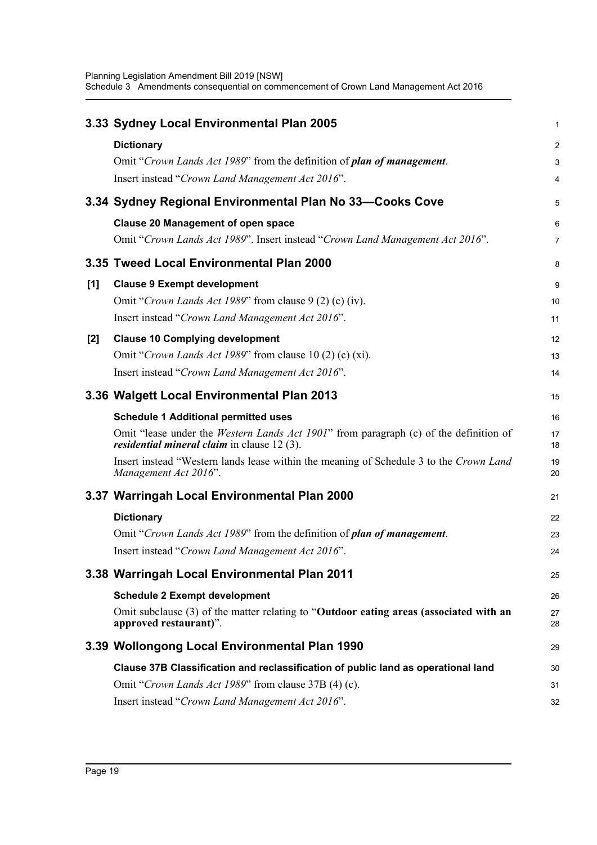|       | 3.33 Sydney Local Environmental Plan 2005                                                                                                             | 1              |
|-------|-------------------------------------------------------------------------------------------------------------------------------------------------------|----------------|
|       | <b>Dictionary</b>                                                                                                                                     | $\overline{c}$ |
|       | Omit "Crown Lands Act 1989" from the definition of plan of management.                                                                                | 3              |
|       | Insert instead "Crown Land Management Act 2016".                                                                                                      | 4              |
|       | 3.34 Sydney Regional Environmental Plan No 33-Cooks Cove                                                                                              | 5              |
|       | <b>Clause 20 Management of open space</b>                                                                                                             | 6              |
|       | Omit "Crown Lands Act 1989". Insert instead "Crown Land Management Act 2016".                                                                         | 7              |
|       | 3.35 Tweed Local Environmental Plan 2000                                                                                                              | 8              |
| [1]   | <b>Clause 9 Exempt development</b>                                                                                                                    | 9              |
|       | Omit "Crown Lands Act 1989" from clause 9 (2) (c) (iv).                                                                                               | 10             |
|       | Insert instead "Crown Land Management Act 2016".                                                                                                      | 11             |
| $[2]$ | <b>Clause 10 Complying development</b>                                                                                                                | 12             |
|       | Omit "Crown Lands Act 1989" from clause 10 (2) (c) (xi).                                                                                              | 13             |
|       | Insert instead "Crown Land Management Act 2016".                                                                                                      | 14             |
|       | 3.36 Walgett Local Environmental Plan 2013                                                                                                            | 15             |
|       | <b>Schedule 1 Additional permitted uses</b>                                                                                                           | 16             |
|       | Omit "lease under the <i>Western Lands Act 1901</i> " from paragraph (c) of the definition of<br><i>residential mineral claim</i> in clause $12(3)$ . | 17<br>18       |
|       | Insert instead "Western lands lease within the meaning of Schedule 3 to the Crown Land<br>Management Act 2016".                                       | 19<br>20       |
|       | 3.37 Warringah Local Environmental Plan 2000                                                                                                          | 21             |
|       | <b>Dictionary</b>                                                                                                                                     | 22             |
|       | Omit "Crown Lands Act 1989" from the definition of plan of management.                                                                                | 23             |
|       | Insert instead "Crown Land Management Act 2016".                                                                                                      | 24             |
|       | 3.38 Warringah Local Environmental Plan 2011                                                                                                          | 25             |
|       | <b>Schedule 2 Exempt development</b>                                                                                                                  | 26             |
|       | Omit subclause (3) of the matter relating to "Outdoor eating areas (associated with an<br>approved restaurant)".                                      | 27<br>28       |
|       | 3.39 Wollongong Local Environmental Plan 1990                                                                                                         | 29             |
|       | Clause 37B Classification and reclassification of public land as operational land                                                                     | 30             |
|       | Omit "Crown Lands Act 1989" from clause 37B (4) (c).                                                                                                  | 31             |
|       | Insert instead "Crown Land Management Act 2016".                                                                                                      | 32             |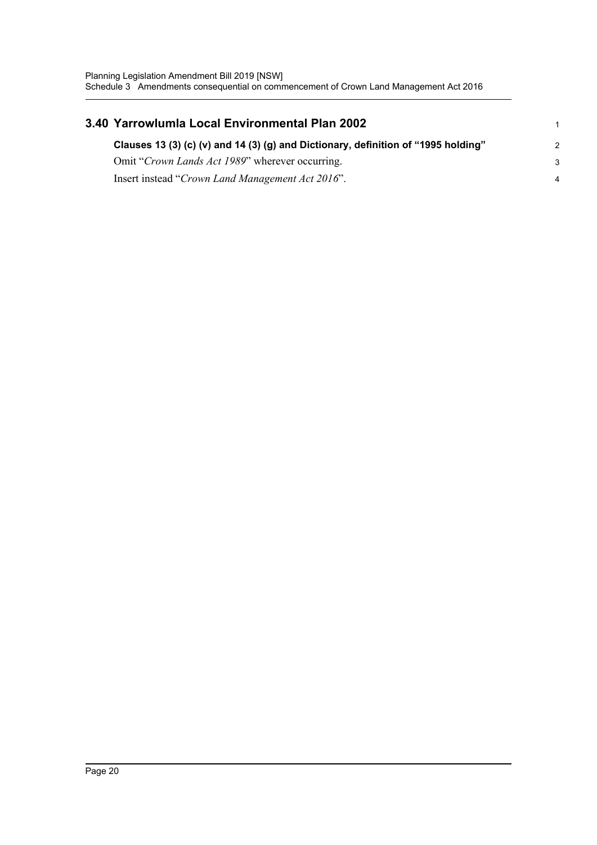| 3.40 Yarrowlumla Local Environmental Plan 2002                                     |               |
|------------------------------------------------------------------------------------|---------------|
| Clauses 13 (3) (c) (v) and 14 (3) (g) and Dictionary, definition of "1995 holding" | $\mathcal{P}$ |
| Omit "Crown Lands Act 1989" wherever occurring.                                    | -3            |
| Insert instead "Crown Land Management Act 2016".                                   | 4             |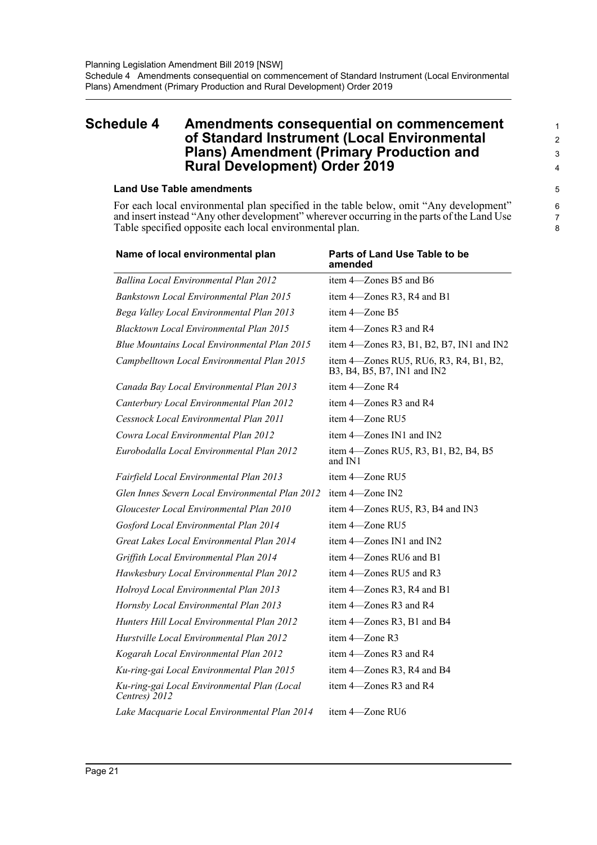#### <span id="page-24-0"></span>**Schedule 4 Amendments consequential on commencement of Standard Instrument (Local Environmental Plans) Amendment (Primary Production and Rural Development) Order 2019**

#### **Land Use Table amendments**

For each local environmental plan specified in the table below, omit "Any development" and insert instead "Any other development" wherever occurring in the parts of the Land Use Table specified opposite each local environmental plan.

| Parts of Land Use Table to be<br>amended                              |
|-----------------------------------------------------------------------|
| item 4-Zones B5 and B6                                                |
| item 4—Zones R3, R4 and B1                                            |
| item 4—Zone B5                                                        |
| item 4—Zones R3 and R4                                                |
| item 4—Zones R3, B1, B2, B7, IN1 and IN2                              |
| item 4—Zones RU5, RU6, R3, R4, B1, B2,<br>B3, B4, B5, B7, IN1 and IN2 |
| item 4-Zone R4                                                        |
| item 4—Zones R3 and R4                                                |
| item 4-Zone RU5                                                       |
| item 4-Zones IN1 and IN2                                              |
| item 4—Zones RU5, R3, B1, B2, B4, B5<br>and IN1                       |
| item 4-Zone RU5                                                       |
| item 4-Zone IN2                                                       |
| item 4—Zones RU5, R3, B4 and IN3                                      |
| item 4-Zone RU5                                                       |
| item 4-Zones IN1 and IN2                                              |
| item 4—Zones RU6 and B1                                               |
| item 4-Zones RU5 and R3                                               |
| item 4-Zones R3, R4 and B1                                            |
| item 4-Zones R3 and R4                                                |
| item 4-Zones R3, B1 and B4                                            |
| item 4-Zone R3                                                        |
| item 4—Zones R3 and R4                                                |
| item 4—Zones R3, R4 and B4                                            |
| item 4—Zones R3 and R4                                                |
| item 4—Zone RU6                                                       |
|                                                                       |

8

1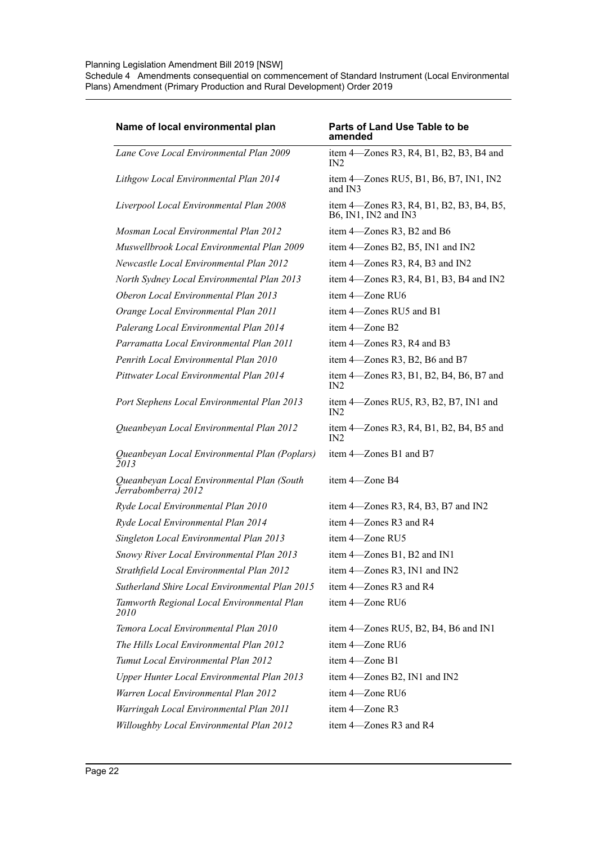#### Planning Legislation Amendment Bill 2019 [NSW]

Schedule 4 Amendments consequential on commencement of Standard Instrument (Local Environmental Plans) Amendment (Primary Production and Rural Development) Order 2019

| Name of local environmental plan                                  | Parts of Land Use Table to be<br>amended                         |
|-------------------------------------------------------------------|------------------------------------------------------------------|
| Lane Cove Local Environmental Plan 2009                           | item 4—Zones R3, R4, B1, B2, B3, B4 and<br>IN2                   |
| Lithgow Local Environmental Plan 2014                             | item 4—Zones RU5, B1, B6, B7, IN1, IN2<br>and IN3                |
| Liverpool Local Environmental Plan 2008                           | item 4—Zones R3, R4, B1, B2, B3, B4, B5,<br>B6, IN1, IN2 and IN3 |
| Mosman Local Environmental Plan 2012                              | item 4-Zones R3, B2 and B6                                       |
| Muswellbrook Local Environmental Plan 2009                        | item 4-Zones B2, B5, IN1 and IN2                                 |
| Newcastle Local Environmental Plan 2012                           | item 4—Zones R3, R4, B3 and IN2                                  |
| North Sydney Local Environmental Plan 2013                        | item $4$ —Zones R3, R4, B1, B3, B4 and IN2                       |
| Oberon Local Environmental Plan 2013                              | item 4—Zone RU6                                                  |
| Orange Local Environmental Plan 2011                              | item 4—Zones RU5 and B1                                          |
| Palerang Local Environmental Plan 2014                            | item 4-Zone B2                                                   |
| Parramatta Local Environmental Plan 2011                          | item 4—Zones R3, R4 and B3                                       |
| Penrith Local Environmental Plan 2010                             | item 4—Zones R3, B2, B6 and B7                                   |
| Pittwater Local Environmental Plan 2014                           | item 4—Zones R3, B1, B2, B4, B6, B7 and<br>IN2                   |
| Port Stephens Local Environmental Plan 2013                       | item 4—Zones RU5, R3, B2, B7, IN1 and<br>IN2                     |
| Queanbeyan Local Environmental Plan 2012                          | item 4—Zones R3, R4, B1, B2, B4, B5 and<br>IN2                   |
| Queanbeyan Local Environmental Plan (Poplars)<br>$\tilde{2}013$   | item 4—Zones B1 and B7                                           |
| Queanbeyan Local Environmental Plan (South<br>Jerrabomberra) 2012 | item 4-Zone B4                                                   |
| Ryde Local Environmental Plan 2010                                | item $4$ —Zones R3, R4, B3, B7 and IN2                           |
| Ryde Local Environmental Plan 2014                                | item 4—Zones R3 and R4                                           |
| Singleton Local Environmental Plan 2013                           | item 4-Zone RU5                                                  |
| Snowy River Local Environmental Plan 2013                         | item 4-Zones B1, B2 and IN1                                      |
| Strathfield Local Environmental Plan 2012                         | item 4-Zones R3, IN1 and IN2                                     |
| Sutherland Shire Local Environmental Plan 2015                    | item 4-Zones R3 and R4                                           |
| Tamworth Regional Local Environmental Plan<br>2010                | item 4-Zone RU6                                                  |
| Temora Local Environmental Plan 2010                              | item 4-Zones RU5, B2, B4, B6 and IN1                             |
| The Hills Local Environmental Plan 2012                           | item 4-Zone RU6                                                  |
| Tumut Local Environmental Plan 2012                               | item 4-Zone B1                                                   |
| <b>Upper Hunter Local Environmental Plan 2013</b>                 | item 4-Zones B2, IN1 and IN2                                     |
| Warren Local Environmental Plan 2012                              | item 4-Zone RU6                                                  |
| Warringah Local Environmental Plan 2011                           | item 4-Zone R3                                                   |
| Willoughby Local Environmental Plan 2012                          | item 4-Zones R3 and R4                                           |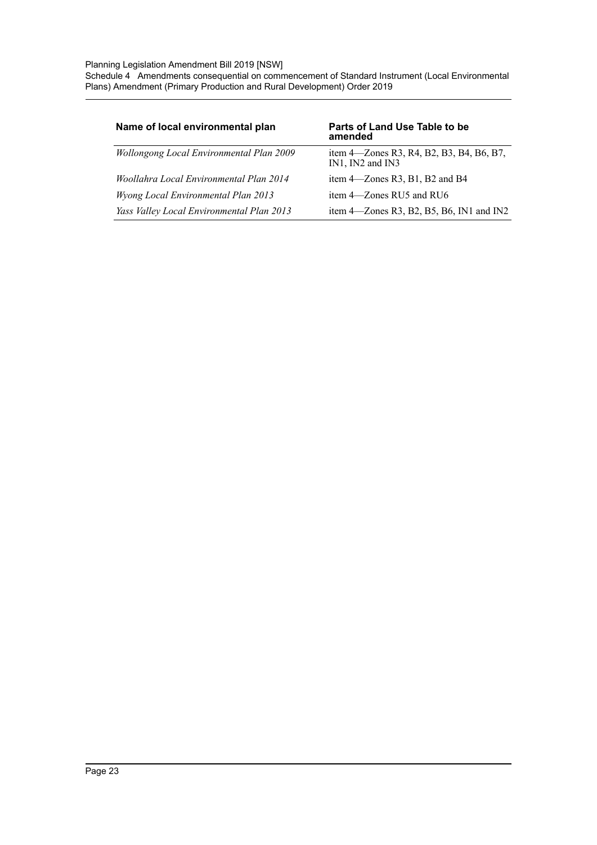Planning Legislation Amendment Bill 2019 [NSW]

Schedule 4 Amendments consequential on commencement of Standard Instrument (Local Environmental Plans) Amendment (Primary Production and Rural Development) Order 2019

| Name of local environmental plan                | Parts of Land Use Table to be<br>amended                            |
|-------------------------------------------------|---------------------------------------------------------------------|
| <b>Wollongong Local Environmental Plan 2009</b> | item 4—Zones R3, R4, B2, B3, B4, B6, B7,<br>$IN1$ , $IN2$ and $IN3$ |
| Woollahra Local Environmental Plan 2014         | item $4$ —Zones R3, B1, B2 and B4                                   |
| <b>Wyong Local Environmental Plan 2013</b>      | item 4—Zones RU5 and RU6                                            |
| Yass Valley Local Environmental Plan 2013       | item $4$ —Zones R3, B2, B5, B6, IN1 and IN2                         |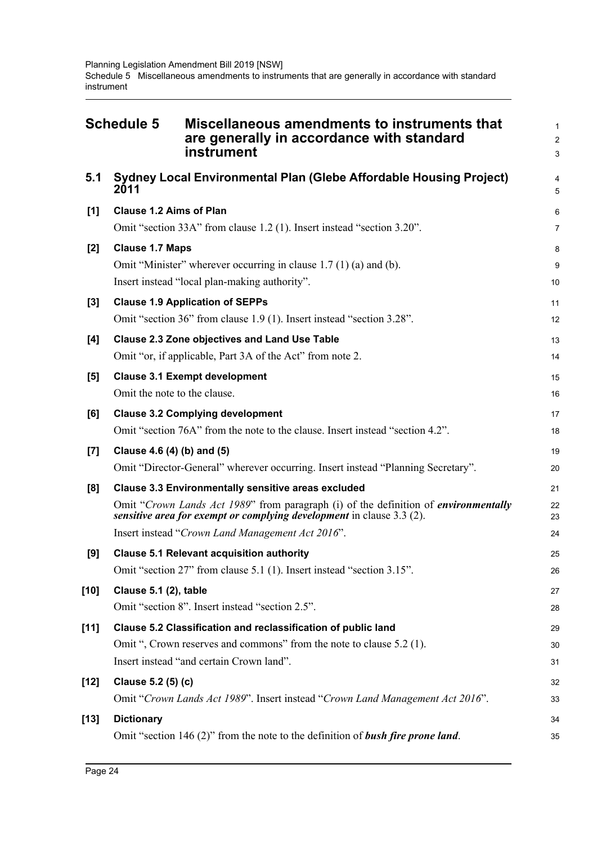<span id="page-27-0"></span>

|        | <b>Schedule 5</b><br>Miscellaneous amendments to instruments that<br>are generally in accordance with standard<br>instrument                                                                                                                                                          | 1<br>$\overline{a}$<br>3 |
|--------|---------------------------------------------------------------------------------------------------------------------------------------------------------------------------------------------------------------------------------------------------------------------------------------|--------------------------|
| 5.1    | Sydney Local Environmental Plan (Glebe Affordable Housing Project)<br>2011                                                                                                                                                                                                            | 4<br>5                   |
| [1]    | <b>Clause 1.2 Aims of Plan</b><br>Omit "section 33A" from clause 1.2 (1). Insert instead "section 3.20".                                                                                                                                                                              | 6<br>7                   |
| $[2]$  | <b>Clause 1.7 Maps</b><br>Omit "Minister" wherever occurring in clause $1.7(1)(a)$ and (b).<br>Insert instead "local plan-making authority".                                                                                                                                          | 8<br>9<br>10             |
| $[3]$  | <b>Clause 1.9 Application of SEPPs</b><br>Omit "section 36" from clause 1.9 (1). Insert instead "section 3.28".                                                                                                                                                                       | 11<br>12                 |
| [4]    | <b>Clause 2.3 Zone objectives and Land Use Table</b><br>Omit "or, if applicable, Part 3A of the Act" from note 2.                                                                                                                                                                     | 13<br>14                 |
| [5]    | <b>Clause 3.1 Exempt development</b><br>Omit the note to the clause.                                                                                                                                                                                                                  | 15<br>16                 |
| [6]    | <b>Clause 3.2 Complying development</b><br>Omit "section 76A" from the note to the clause. Insert instead "section 4.2".                                                                                                                                                              | 17<br>18                 |
| [7]    | Clause 4.6 (4) (b) and (5)<br>Omit "Director-General" wherever occurring. Insert instead "Planning Secretary".                                                                                                                                                                        | 19<br>20                 |
| [8]    | <b>Clause 3.3 Environmentally sensitive areas excluded</b><br>Omit "Crown Lands Act 1989" from paragraph (i) of the definition of <i>environmentally</i><br>sensitive area for exempt or complying development in clause 3.3 (2).<br>Insert instead "Crown Land Management Act 2016". | 21<br>22<br>23<br>24     |
| [9]    | <b>Clause 5.1 Relevant acquisition authority</b><br>Omit "section 27" from clause 5.1 (1). Insert instead "section 3.15".                                                                                                                                                             | 25<br>26                 |
| $[10]$ | Clause 5.1 (2), table<br>Omit "section 8". Insert instead "section 2.5".                                                                                                                                                                                                              | 27<br>28                 |
| $[11]$ | Clause 5.2 Classification and reclassification of public land<br>Omit ", Crown reserves and commons" from the note to clause 5.2 (1).<br>Insert instead "and certain Crown land".                                                                                                     | 29<br>30<br>31           |
| $[12]$ | Clause 5.2 (5) (c)<br>Omit "Crown Lands Act 1989". Insert instead "Crown Land Management Act 2016".                                                                                                                                                                                   | 32<br>33                 |
| $[13]$ | <b>Dictionary</b><br>Omit "section $146(2)$ " from the note to the definition of <b>bush fire prone land</b> .                                                                                                                                                                        | 34<br>35                 |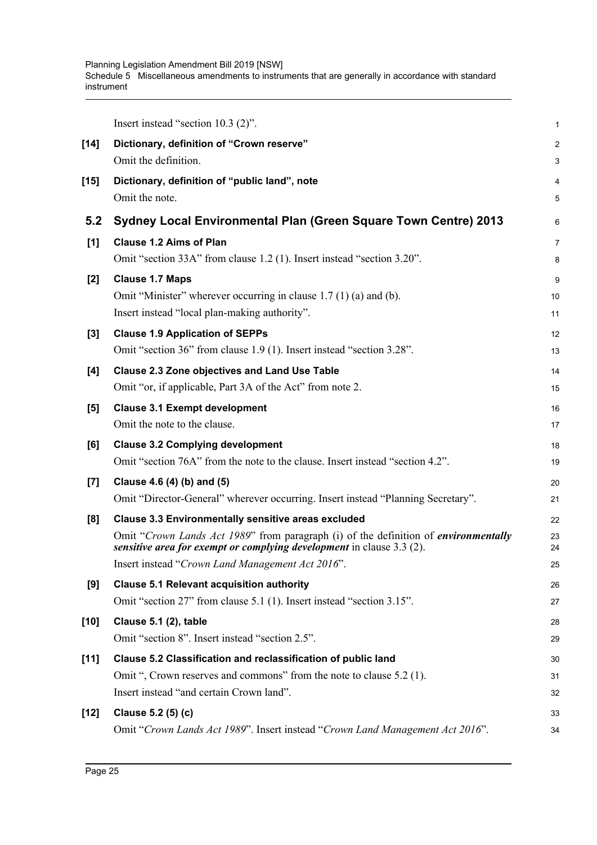Planning Legislation Amendment Bill 2019 [NSW] Schedule 5 Miscellaneous amendments to instruments that are generally in accordance with standard instrument

|        | Insert instead "section $10.3$ $(2)$ ".                                                                                                                             | 1              |
|--------|---------------------------------------------------------------------------------------------------------------------------------------------------------------------|----------------|
| $[14]$ | Dictionary, definition of "Crown reserve"                                                                                                                           | $\overline{a}$ |
|        | Omit the definition.                                                                                                                                                | 3              |
| $[15]$ | Dictionary, definition of "public land", note                                                                                                                       | 4              |
|        | Omit the note.                                                                                                                                                      | 5              |
| 5.2    | <b>Sydney Local Environmental Plan (Green Square Town Centre) 2013</b>                                                                                              | 6              |
| [1]    | <b>Clause 1.2 Aims of Plan</b>                                                                                                                                      | $\overline{7}$ |
|        | Omit "section 33A" from clause 1.2 (1). Insert instead "section 3.20".                                                                                              | 8              |
| $[2]$  | <b>Clause 1.7 Maps</b>                                                                                                                                              | 9              |
|        | Omit "Minister" wherever occurring in clause 1.7 (1) (a) and (b).                                                                                                   | 10             |
|        | Insert instead "local plan-making authority".                                                                                                                       | 11             |
| $[3]$  | <b>Clause 1.9 Application of SEPPs</b>                                                                                                                              | 12             |
|        | Omit "section 36" from clause 1.9 (1). Insert instead "section 3.28".                                                                                               | 13             |
| [4]    | <b>Clause 2.3 Zone objectives and Land Use Table</b>                                                                                                                | 14             |
|        | Omit "or, if applicable, Part 3A of the Act" from note 2.                                                                                                           | 15             |
| [5]    | <b>Clause 3.1 Exempt development</b>                                                                                                                                | 16             |
|        | Omit the note to the clause.                                                                                                                                        | 17             |
| [6]    | <b>Clause 3.2 Complying development</b>                                                                                                                             | 18             |
|        | Omit "section 76A" from the note to the clause. Insert instead "section 4.2".                                                                                       | 19             |
| $[7]$  | Clause 4.6 (4) (b) and (5)                                                                                                                                          | 20             |
|        | Omit "Director-General" wherever occurring. Insert instead "Planning Secretary".                                                                                    | 21             |
| [8]    | <b>Clause 3.3 Environmentally sensitive areas excluded</b>                                                                                                          | 22             |
|        | Omit "Crown Lands Act 1989" from paragraph (i) of the definition of <i>environmentally</i><br>sensitive area for exempt or complying development in clause 3.3 (2). | 23<br>24       |
|        | Insert instead "Crown Land Management Act 2016".                                                                                                                    | 25             |
| [9]    | <b>Clause 5.1 Relevant acquisition authority</b>                                                                                                                    | 26             |
|        | Omit "section 27" from clause 5.1 (1). Insert instead "section 3.15".                                                                                               | 27             |
| $[10]$ | Clause 5.1 (2), table                                                                                                                                               | 28             |
|        | Omit "section 8". Insert instead "section 2.5".                                                                                                                     | 29             |
| $[11]$ | Clause 5.2 Classification and reclassification of public land                                                                                                       | 30             |
|        | Omit ", Crown reserves and commons" from the note to clause 5.2 (1).                                                                                                | 31             |
|        | Insert instead "and certain Crown land".                                                                                                                            | 32             |
| $[12]$ | Clause 5.2 (5) (c)                                                                                                                                                  | 33             |
|        | Omit "Crown Lands Act 1989". Insert instead "Crown Land Management Act 2016".                                                                                       | 34             |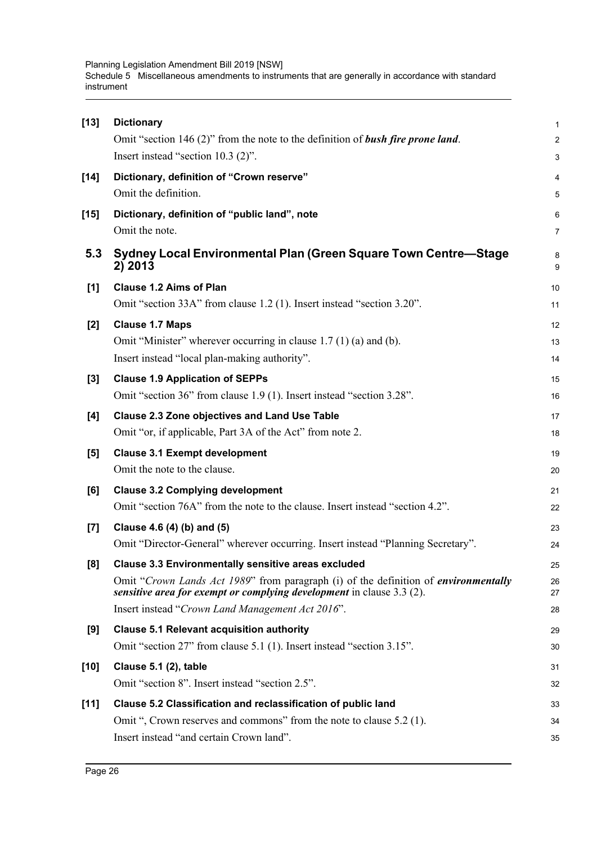Planning Legislation Amendment Bill 2019 [NSW] Schedule 5 Miscellaneous amendments to instruments that are generally in accordance with standard instrument

| $[13]$ | <b>Dictionary</b>                                                                                                                                            | $\mathbf{1}$            |
|--------|--------------------------------------------------------------------------------------------------------------------------------------------------------------|-------------------------|
|        | Omit "section 146 $(2)$ " from the note to the definition of <b>bush fire prone land</b> .                                                                   | $\overline{2}$          |
|        | Insert instead "section 10.3 (2)".                                                                                                                           | 3                       |
| $[14]$ | Dictionary, definition of "Crown reserve"                                                                                                                    | $\overline{\mathbf{4}}$ |
|        | Omit the definition.                                                                                                                                         | 5                       |
| $[15]$ | Dictionary, definition of "public land", note                                                                                                                | 6                       |
|        | Omit the note.                                                                                                                                               | $\overline{7}$          |
| 5.3    | Sydney Local Environmental Plan (Green Square Town Centre-Stage<br>2) 2013                                                                                   | 8<br>9                  |
| [1]    | <b>Clause 1.2 Aims of Plan</b>                                                                                                                               | 10                      |
|        | Omit "section 33A" from clause 1.2 (1). Insert instead "section 3.20".                                                                                       | 11                      |
| $[2]$  | <b>Clause 1.7 Maps</b>                                                                                                                                       | 12                      |
|        | Omit "Minister" wherever occurring in clause $1.7(1)(a)$ and (b).                                                                                            | 13                      |
|        | Insert instead "local plan-making authority".                                                                                                                | 14                      |
| $[3]$  | <b>Clause 1.9 Application of SEPPs</b>                                                                                                                       | 15                      |
|        | Omit "section 36" from clause 1.9 (1). Insert instead "section 3.28".                                                                                        | 16                      |
| [4]    | <b>Clause 2.3 Zone objectives and Land Use Table</b>                                                                                                         | 17                      |
|        | Omit "or, if applicable, Part 3A of the Act" from note 2.                                                                                                    | 18                      |
| [5]    | <b>Clause 3.1 Exempt development</b>                                                                                                                         | 19                      |
|        | Omit the note to the clause.                                                                                                                                 | 20                      |
| [6]    | <b>Clause 3.2 Complying development</b>                                                                                                                      | 21                      |
|        | Omit "section 76A" from the note to the clause. Insert instead "section 4.2".                                                                                | 22                      |
| $[7]$  | Clause 4.6 (4) (b) and (5)                                                                                                                                   | 23                      |
|        | Omit "Director-General" wherever occurring. Insert instead "Planning Secretary".                                                                             | 24                      |
| [8]    | <b>Clause 3.3 Environmentally sensitive areas excluded</b>                                                                                                   | 25                      |
|        | Omit "Crown Lands Act 1989" from paragraph (i) of the definition of environmentally<br>sensitive area for exempt or complying development in clause 3.3 (2). | 26<br>27                |
|        | Insert instead "Crown Land Management Act 2016".                                                                                                             | 28                      |
| [9]    | <b>Clause 5.1 Relevant acquisition authority</b>                                                                                                             | 29                      |
|        | Omit "section 27" from clause 5.1 (1). Insert instead "section 3.15".                                                                                        | 30                      |
| $[10]$ | Clause 5.1 (2), table                                                                                                                                        | 31                      |
|        | Omit "section 8". Insert instead "section 2.5".                                                                                                              | 32                      |
| $[11]$ | Clause 5.2 Classification and reclassification of public land                                                                                                | 33                      |
|        | Omit ", Crown reserves and commons" from the note to clause 5.2 (1).                                                                                         | 34                      |
|        | Insert instead "and certain Crown land".                                                                                                                     | 35                      |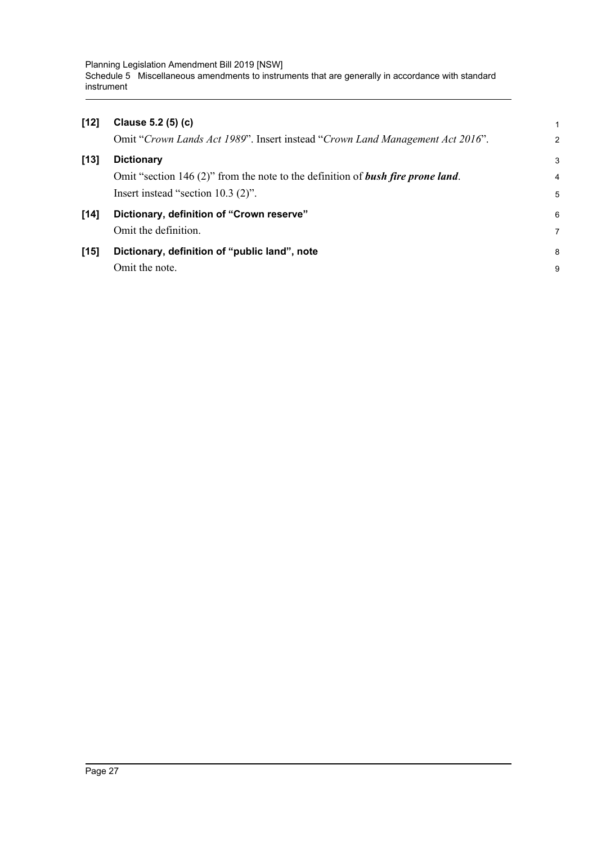Planning Legislation Amendment Bill 2019 [NSW] Schedule 5 Miscellaneous amendments to instruments that are generally in accordance with standard instrument

| $[12]$ | Clause 5.2 (5) (c)                                                              |                |
|--------|---------------------------------------------------------------------------------|----------------|
|        | Omit "Crown Lands Act 1989". Insert instead "Crown Land Management Act 2016".   | $\overline{2}$ |
| $[13]$ | <b>Dictionary</b>                                                               | 3              |
|        | Omit "section 146 (2)" from the note to the definition of bush fire prone land. | 4              |
|        | Insert instead "section $10.3$ (2)".                                            | 5              |
| [14]   | Dictionary, definition of "Crown reserve"                                       | 6              |
|        | Omit the definition.                                                            | 7              |
| $[15]$ | Dictionary, definition of "public land", note                                   | 8              |
|        | Omit the note.                                                                  | 9              |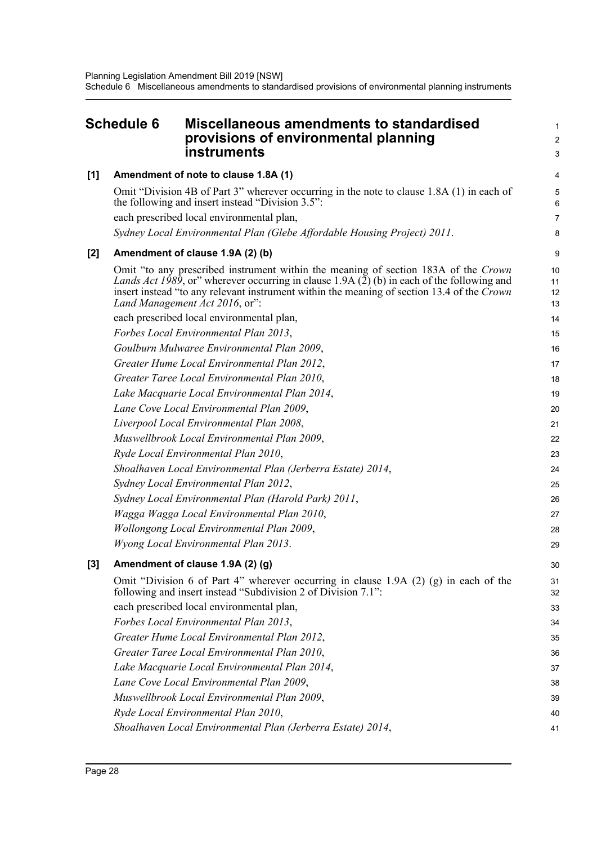<span id="page-31-0"></span>

| <b>Schedule 6</b> |  | <b>Miscellaneous amendments to standardised</b><br>provisions of environmental planning<br>instruments                                                                                                                                                                                                           | 1<br>$\overline{c}$<br>3 |
|-------------------|--|------------------------------------------------------------------------------------------------------------------------------------------------------------------------------------------------------------------------------------------------------------------------------------------------------------------|--------------------------|
| [1]               |  | Amendment of note to clause 1.8A (1)                                                                                                                                                                                                                                                                             | 4                        |
|                   |  | Omit "Division 4B of Part 3" wherever occurring in the note to clause 1.8A (1) in each of<br>the following and insert instead "Division 3.5":<br>each prescribed local environmental plan,                                                                                                                       | 5<br>6<br>7              |
|                   |  | Sydney Local Environmental Plan (Glebe Affordable Housing Project) 2011.                                                                                                                                                                                                                                         | 8                        |
| $[2]$             |  | Amendment of clause 1.9A (2) (b)                                                                                                                                                                                                                                                                                 | 9                        |
|                   |  | Omit "to any prescribed instrument within the meaning of section 183A of the Crown<br>Lands Act 1989, or" wherever occurring in clause 1.9A (2) (b) in each of the following and<br>insert instead "to any relevant instrument within the meaning of section 13.4 of the Crown<br>Land Management Act 2016, or": | 10<br>11<br>12<br>13     |
|                   |  | each prescribed local environmental plan,                                                                                                                                                                                                                                                                        | 14                       |
|                   |  | Forbes Local Environmental Plan 2013,                                                                                                                                                                                                                                                                            | 15                       |
|                   |  | Goulburn Mulwaree Environmental Plan 2009,                                                                                                                                                                                                                                                                       | 16                       |
|                   |  | Greater Hume Local Environmental Plan 2012,                                                                                                                                                                                                                                                                      | 17                       |
|                   |  | Greater Taree Local Environmental Plan 2010,                                                                                                                                                                                                                                                                     | 18                       |
|                   |  | Lake Macquarie Local Environmental Plan 2014,                                                                                                                                                                                                                                                                    | 19                       |
|                   |  | Lane Cove Local Environmental Plan 2009,                                                                                                                                                                                                                                                                         | 20                       |
|                   |  | Liverpool Local Environmental Plan 2008,                                                                                                                                                                                                                                                                         | 21                       |
|                   |  | Muswellbrook Local Environmental Plan 2009,                                                                                                                                                                                                                                                                      | 22                       |
|                   |  | Ryde Local Environmental Plan 2010,                                                                                                                                                                                                                                                                              | 23                       |
|                   |  | Shoalhaven Local Environmental Plan (Jerberra Estate) 2014,                                                                                                                                                                                                                                                      | 24                       |
|                   |  | Sydney Local Environmental Plan 2012,                                                                                                                                                                                                                                                                            | 25                       |
|                   |  | Sydney Local Environmental Plan (Harold Park) 2011,                                                                                                                                                                                                                                                              | 26                       |
|                   |  | Wagga Wagga Local Environmental Plan 2010,                                                                                                                                                                                                                                                                       | 27                       |
|                   |  | <b>Wollongong Local Environmental Plan 2009,</b>                                                                                                                                                                                                                                                                 | 28                       |
|                   |  | Wyong Local Environmental Plan 2013.                                                                                                                                                                                                                                                                             | 29                       |
| $[3]$             |  | Amendment of clause 1.9A (2) (g)                                                                                                                                                                                                                                                                                 | 30                       |
|                   |  | Omit "Division 6 of Part 4" wherever occurring in clause 1.9A (2) (g) in each of the<br>following and insert instead "Subdivision 2 of Division 7.1":                                                                                                                                                            | 31<br>32                 |
|                   |  | each prescribed local environmental plan,                                                                                                                                                                                                                                                                        | 33                       |
|                   |  | Forbes Local Environmental Plan 2013,                                                                                                                                                                                                                                                                            | 34                       |
|                   |  | Greater Hume Local Environmental Plan 2012,                                                                                                                                                                                                                                                                      | 35                       |
|                   |  | Greater Taree Local Environmental Plan 2010,                                                                                                                                                                                                                                                                     | 36                       |
|                   |  | Lake Macquarie Local Environmental Plan 2014,                                                                                                                                                                                                                                                                    | 37                       |
|                   |  | Lane Cove Local Environmental Plan 2009,                                                                                                                                                                                                                                                                         | 38                       |
|                   |  | Muswellbrook Local Environmental Plan 2009,                                                                                                                                                                                                                                                                      | 39                       |
|                   |  | Ryde Local Environmental Plan 2010,                                                                                                                                                                                                                                                                              | 40                       |
|                   |  | Shoalhaven Local Environmental Plan (Jerberra Estate) 2014,                                                                                                                                                                                                                                                      | 41                       |
|                   |  |                                                                                                                                                                                                                                                                                                                  |                          |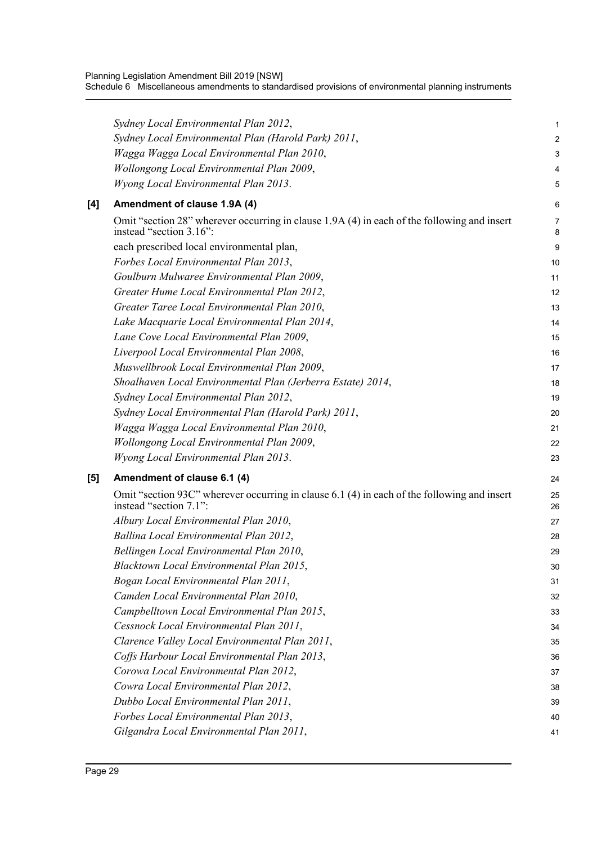|     | Sydney Local Environmental Plan 2012,                                                                                  | 1              |
|-----|------------------------------------------------------------------------------------------------------------------------|----------------|
|     | Sydney Local Environmental Plan (Harold Park) 2011,                                                                    | $\overline{c}$ |
|     | Wagga Wagga Local Environmental Plan 2010,                                                                             | 3              |
|     | Wollongong Local Environmental Plan 2009,                                                                              | 4              |
|     | <b>Wyong Local Environmental Plan 2013.</b>                                                                            | 5              |
| [4] | Amendment of clause 1.9A (4)                                                                                           | 6              |
|     | Omit "section 28" wherever occurring in clause 1.9A (4) in each of the following and insert<br>instead "section 3.16": | 7<br>8         |
|     | each prescribed local environmental plan,                                                                              | 9              |
|     | Forbes Local Environmental Plan 2013,                                                                                  | 10             |
|     | Goulburn Mulwaree Environmental Plan 2009,                                                                             | 11             |
|     | Greater Hume Local Environmental Plan 2012,                                                                            | 12             |
|     | Greater Taree Local Environmental Plan 2010,                                                                           | 13             |
|     | Lake Macquarie Local Environmental Plan 2014,                                                                          | 14             |
|     | Lane Cove Local Environmental Plan 2009,                                                                               | 15             |
|     | Liverpool Local Environmental Plan 2008,                                                                               | 16             |
|     | Muswellbrook Local Environmental Plan 2009,                                                                            | 17             |
|     | Shoalhaven Local Environmental Plan (Jerberra Estate) 2014,                                                            | 18             |
|     | Sydney Local Environmental Plan 2012,                                                                                  | 19             |
|     | Sydney Local Environmental Plan (Harold Park) 2011,                                                                    | 20             |
|     | Wagga Wagga Local Environmental Plan 2010,                                                                             | 21             |
|     | Wollongong Local Environmental Plan 2009,                                                                              | 22             |
|     | <b>Wyong Local Environmental Plan 2013.</b>                                                                            | 23             |
| [5] | Amendment of clause 6.1 (4)                                                                                            | 24             |
|     | Omit "section 93C" wherever occurring in clause 6.1 (4) in each of the following and insert<br>instead "section 7.1":  | 25<br>26       |
|     | Albury Local Environmental Plan 2010,                                                                                  | 27             |
|     | Ballina Local Environmental Plan 2012,                                                                                 | 28             |
|     | Bellingen Local Environmental Plan 2010,                                                                               | 29             |
|     | Blacktown Local Environmental Plan 2015,                                                                               | 30             |
|     | Bogan Local Environmental Plan 2011,                                                                                   | 31             |
|     | Camden Local Environmental Plan 2010,                                                                                  | 32             |
|     | Campbelltown Local Environmental Plan 2015,                                                                            | 33             |
|     | Cessnock Local Environmental Plan 2011,                                                                                | 34             |
|     | Clarence Valley Local Environmental Plan 2011,                                                                         | 35             |
|     | Coffs Harbour Local Environmental Plan 2013,                                                                           | 36             |
|     | Corowa Local Environmental Plan 2012,                                                                                  | 37             |
|     | Cowra Local Environmental Plan 2012,                                                                                   | 38             |
|     | Dubbo Local Environmental Plan 2011,                                                                                   | 39             |
|     | Forbes Local Environmental Plan 2013,                                                                                  | 40             |
|     | Gilgandra Local Environmental Plan 2011,                                                                               | 41             |
|     |                                                                                                                        |                |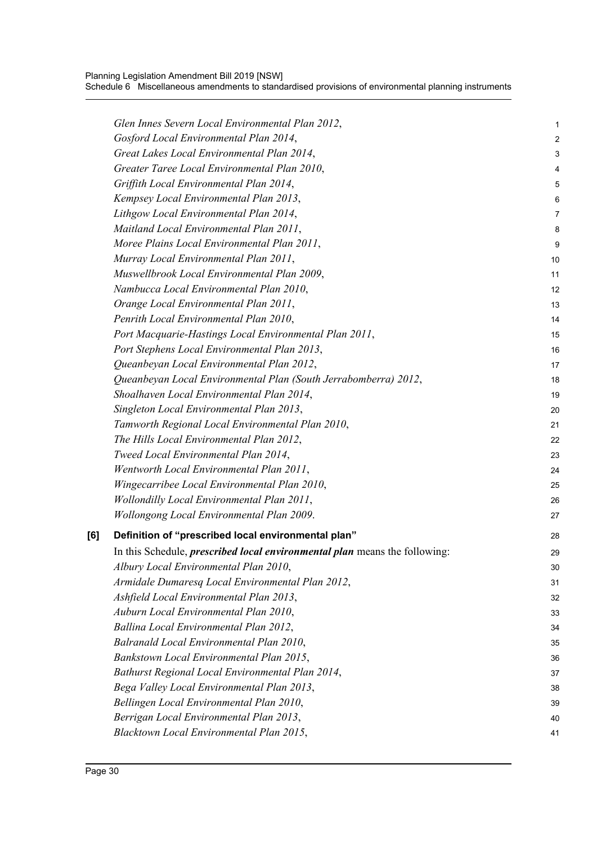|     | Glen Innes Severn Local Environmental Plan 2012,                                  | 1              |
|-----|-----------------------------------------------------------------------------------|----------------|
|     | Gosford Local Environmental Plan 2014,                                            | $\overline{a}$ |
|     | Great Lakes Local Environmental Plan 2014,                                        | 3              |
|     | Greater Taree Local Environmental Plan 2010,                                      | 4              |
|     | Griffith Local Environmental Plan 2014,                                           | 5              |
|     | Kempsey Local Environmental Plan 2013,                                            | 6              |
|     | Lithgow Local Environmental Plan 2014,                                            | 7              |
|     | Maitland Local Environmental Plan 2011,                                           | 8              |
|     | Moree Plains Local Environmental Plan 2011,                                       | 9              |
|     | Murray Local Environmental Plan 2011,                                             | 10             |
|     | Muswellbrook Local Environmental Plan 2009,                                       | 11             |
|     | Nambucca Local Environmental Plan 2010,                                           | 12             |
|     | Orange Local Environmental Plan 2011,                                             | 13             |
|     | Penrith Local Environmental Plan 2010,                                            | 14             |
|     | Port Macquarie-Hastings Local Environmental Plan 2011,                            | 15             |
|     | Port Stephens Local Environmental Plan 2013,                                      | 16             |
|     | Queanbeyan Local Environmental Plan 2012,                                         | 17             |
|     | Queanbeyan Local Environmental Plan (South Jerrabomberra) 2012,                   | 18             |
|     | Shoalhaven Local Environmental Plan 2014,                                         | 19             |
|     | Singleton Local Environmental Plan 2013,                                          | 20             |
|     | Tamworth Regional Local Environmental Plan 2010,                                  | 21             |
|     | The Hills Local Environmental Plan 2012,                                          | 22             |
|     | Tweed Local Environmental Plan 2014,                                              | 23             |
|     | Wentworth Local Environmental Plan 2011,                                          | 24             |
|     | Wingecarribee Local Environmental Plan 2010,                                      | 25             |
|     | <b>Wollondilly Local Environmental Plan 2011,</b>                                 | 26             |
|     | <b>Wollongong Local Environmental Plan 2009.</b>                                  | 27             |
| [6] | Definition of "prescribed local environmental plan"                               | 28             |
|     | In this Schedule, <i>prescribed local environmental plan</i> means the following: | 29             |
|     | Albury Local Environmental Plan 2010,                                             | 30             |
|     | Armidale Dumaresq Local Environmental Plan 2012,                                  | 31             |
|     | Ashfield Local Environmental Plan 2013,                                           | 32             |
|     | Auburn Local Environmental Plan 2010,                                             | 33             |
|     | Ballina Local Environmental Plan 2012,                                            | 34             |
|     | Balranald Local Environmental Plan 2010,                                          | 35             |
|     | Bankstown Local Environmental Plan 2015,                                          | 36             |
|     | Bathurst Regional Local Environmental Plan 2014,                                  | 37             |
|     | Bega Valley Local Environmental Plan 2013,                                        | 38             |
|     | Bellingen Local Environmental Plan 2010,                                          | 39             |
|     | Berrigan Local Environmental Plan 2013,                                           | 40             |
|     | Blacktown Local Environmental Plan 2015,                                          | 41             |
|     |                                                                                   |                |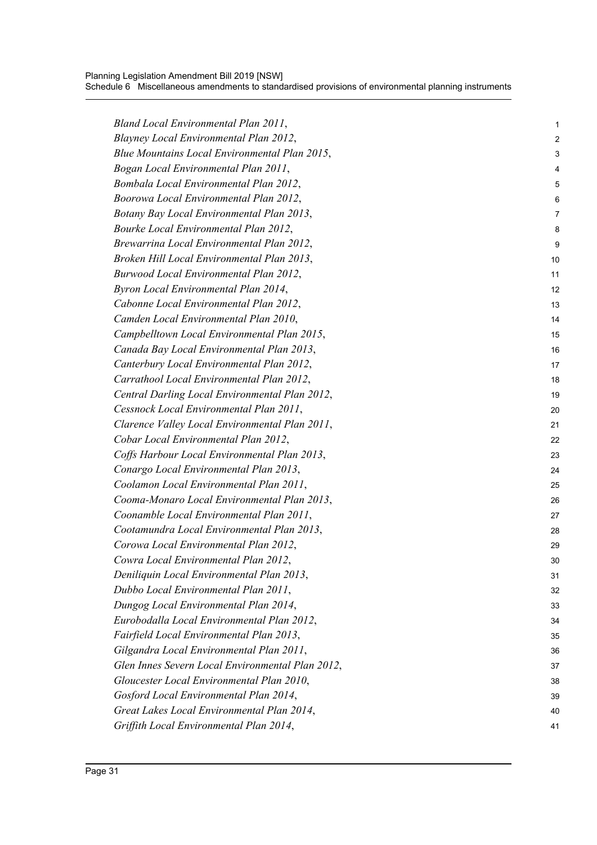| Bland Local Environmental Plan 2011,             | 1  |
|--------------------------------------------------|----|
| Blayney Local Environmental Plan 2012,           | 2  |
| Blue Mountains Local Environmental Plan 2015,    | 3  |
| Bogan Local Environmental Plan 2011,             | 4  |
| Bombala Local Environmental Plan 2012,           | 5  |
| Boorowa Local Environmental Plan 2012,           | 6  |
| Botany Bay Local Environmental Plan 2013,        | 7  |
| Bourke Local Environmental Plan 2012,            | 8  |
| Brewarrina Local Environmental Plan 2012,        | 9  |
| Broken Hill Local Environmental Plan 2013,       | 10 |
| Burwood Local Environmental Plan 2012,           | 11 |
| Byron Local Environmental Plan 2014,             | 12 |
| Cabonne Local Environmental Plan 2012,           | 13 |
| Camden Local Environmental Plan 2010,            | 14 |
| Campbelltown Local Environmental Plan 2015,      | 15 |
| Canada Bay Local Environmental Plan 2013,        | 16 |
| Canterbury Local Environmental Plan 2012,        | 17 |
| Carrathool Local Environmental Plan 2012,        | 18 |
| Central Darling Local Environmental Plan 2012,   | 19 |
| Cessnock Local Environmental Plan 2011,          | 20 |
| Clarence Valley Local Environmental Plan 2011,   | 21 |
| Cobar Local Environmental Plan 2012,             | 22 |
| Coffs Harbour Local Environmental Plan 2013,     | 23 |
| Conargo Local Environmental Plan 2013,           | 24 |
| Coolamon Local Environmental Plan 2011,          | 25 |
| Cooma-Monaro Local Environmental Plan 2013,      | 26 |
| Coonamble Local Environmental Plan 2011,         | 27 |
| Cootamundra Local Environmental Plan 2013,       | 28 |
| Corowa Local Environmental Plan 2012,            | 29 |
| Cowra Local Environmental Plan 2012,             | 30 |
| Deniliquin Local Environmental Plan 2013,        | 31 |
| Dubbo Local Environmental Plan 2011,             | 32 |
| Dungog Local Environmental Plan 2014,            | 33 |
| Eurobodalla Local Environmental Plan 2012,       | 34 |
| Fairfield Local Environmental Plan 2013,         | 35 |
| Gilgandra Local Environmental Plan 2011,         | 36 |
| Glen Innes Severn Local Environmental Plan 2012, | 37 |
| Gloucester Local Environmental Plan 2010,        | 38 |
| Gosford Local Environmental Plan 2014,           | 39 |
| Great Lakes Local Environmental Plan 2014,       | 40 |
| Griffith Local Environmental Plan 2014,          | 41 |
|                                                  |    |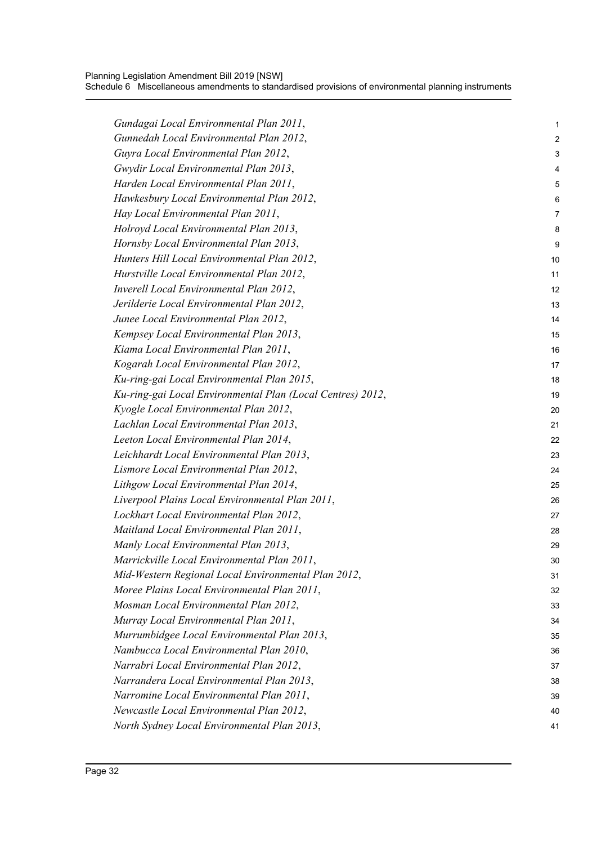| Gundagai Local Environmental Plan 2011,                    | 1              |
|------------------------------------------------------------|----------------|
| Gunnedah Local Environmental Plan 2012,                    | 2              |
| Guyra Local Environmental Plan 2012,                       | 3              |
| Gwydir Local Environmental Plan 2013,                      | 4              |
| Harden Local Environmental Plan 2011,                      | 5              |
| Hawkesbury Local Environmental Plan 2012,                  | 6              |
| Hay Local Environmental Plan 2011,                         | $\overline{7}$ |
| Holroyd Local Environmental Plan 2013,                     | 8              |
| Hornsby Local Environmental Plan 2013,                     | 9              |
| Hunters Hill Local Environmental Plan 2012,                | 10             |
| Hurstville Local Environmental Plan 2012,                  | 11             |
| <b>Inverell Local Environmental Plan 2012,</b>             | 12             |
| Jerilderie Local Environmental Plan 2012,                  | 13             |
| Junee Local Environmental Plan 2012,                       | 14             |
| Kempsey Local Environmental Plan 2013,                     | 15             |
| Kiama Local Environmental Plan 2011,                       | 16             |
| Kogarah Local Environmental Plan 2012,                     | 17             |
| Ku-ring-gai Local Environmental Plan 2015,                 | 18             |
| Ku-ring-gai Local Environmental Plan (Local Centres) 2012, | 19             |
| Kyogle Local Environmental Plan 2012,                      | 20             |
| Lachlan Local Environmental Plan 2013,                     | 21             |
| Leeton Local Environmental Plan 2014,                      | 22             |
| Leichhardt Local Environmental Plan 2013,                  | 23             |
| Lismore Local Environmental Plan 2012,                     | 24             |
| Lithgow Local Environmental Plan 2014,                     | 25             |
| Liverpool Plains Local Environmental Plan 2011,            | 26             |
| Lockhart Local Environmental Plan 2012,                    | 27             |
| Maitland Local Environmental Plan 2011,                    | 28             |
| Manly Local Environmental Plan 2013,                       | 29             |
| Marrickville Local Environmental Plan 2011,                | 30             |
| Mid-Western Regional Local Environmental Plan 2012,        | 31             |
| Moree Plains Local Environmental Plan 2011,                | 32             |
| Mosman Local Environmental Plan 2012,                      | 33             |
| Murray Local Environmental Plan 2011,                      | 34             |
| Murrumbidgee Local Environmental Plan 2013,                | 35             |
| Nambucca Local Environmental Plan 2010,                    | 36             |
| Narrabri Local Environmental Plan 2012,                    | 37             |
| Narrandera Local Environmental Plan 2013,                  |                |
| Narromine Local Environmental Plan 2011,                   | 38<br>39       |
|                                                            |                |
| Newcastle Local Environmental Plan 2012,                   | 40             |
| North Sydney Local Environmental Plan 2013,                | 41             |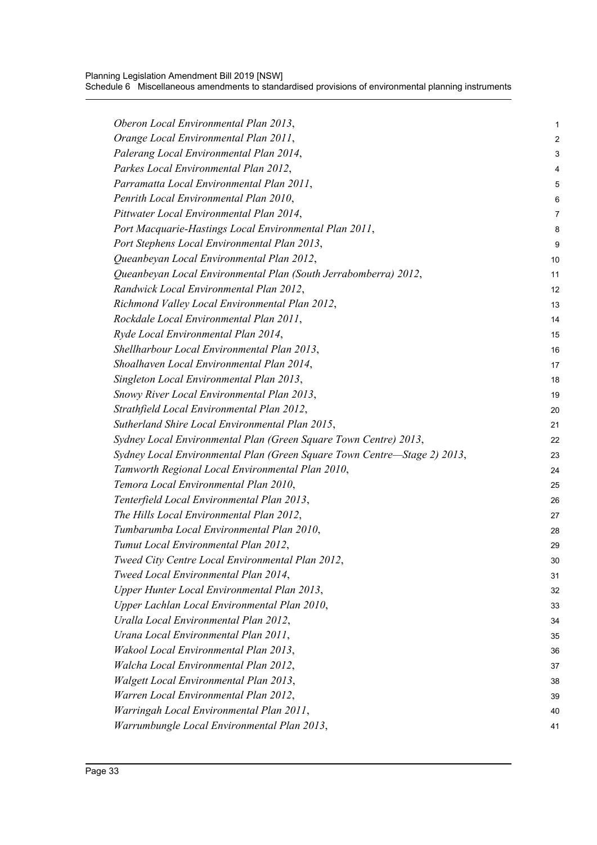Planning Legislation Amendment Bill 2019 [NSW] Schedule 6 Miscellaneous amendments to standardised provisions of environmental planning instruments

| Oberon Local Environmental Plan 2013,                                    | 1  |
|--------------------------------------------------------------------------|----|
| Orange Local Environmental Plan 2011,                                    | 2  |
| Palerang Local Environmental Plan 2014,                                  | 3  |
| Parkes Local Environmental Plan 2012,                                    | 4  |
| Parramatta Local Environmental Plan 2011,                                | 5  |
| Penrith Local Environmental Plan 2010,                                   | 6  |
| Pittwater Local Environmental Plan 2014,                                 | 7  |
| Port Macquarie-Hastings Local Environmental Plan 2011,                   | 8  |
| Port Stephens Local Environmental Plan 2013,                             | 9  |
| Queanbeyan Local Environmental Plan 2012,                                | 10 |
| Queanbeyan Local Environmental Plan (South Jerrabomberra) 2012,          | 11 |
| Randwick Local Environmental Plan 2012,                                  | 12 |
| Richmond Valley Local Environmental Plan 2012,                           | 13 |
| Rockdale Local Environmental Plan 2011,                                  | 14 |
| Ryde Local Environmental Plan 2014,                                      | 15 |
| Shellharbour Local Environmental Plan 2013,                              | 16 |
| Shoalhaven Local Environmental Plan 2014,                                | 17 |
| Singleton Local Environmental Plan 2013,                                 | 18 |
| Snowy River Local Environmental Plan 2013,                               | 19 |
| Strathfield Local Environmental Plan 2012,                               | 20 |
| Sutherland Shire Local Environmental Plan 2015,                          | 21 |
| Sydney Local Environmental Plan (Green Square Town Centre) 2013,         | 22 |
| Sydney Local Environmental Plan (Green Square Town Centre-Stage 2) 2013, | 23 |
| Tamworth Regional Local Environmental Plan 2010,                         | 24 |
| Temora Local Environmental Plan 2010,                                    | 25 |
| Tenterfield Local Environmental Plan 2013,                               | 26 |
| The Hills Local Environmental Plan 2012,                                 | 27 |
| Tumbarumba Local Environmental Plan 2010,                                | 28 |
| Tumut Local Environmental Plan 2012,                                     | 29 |
| Tweed City Centre Local Environmental Plan 2012,                         | 30 |
| Tweed Local Environmental Plan 2014,                                     | 31 |
| Upper Hunter Local Environmental Plan 2013,                              | 32 |
| Upper Lachlan Local Environmental Plan 2010,                             | 33 |
| Uralla Local Environmental Plan 2012,                                    | 34 |
| Urana Local Environmental Plan 2011,                                     | 35 |
| Wakool Local Environmental Plan 2013,                                    | 36 |
| Walcha Local Environmental Plan 2012,                                    | 37 |
| <b>Walgett Local Environmental Plan 2013,</b>                            | 38 |
| Warren Local Environmental Plan 2012,                                    | 39 |
| Warringah Local Environmental Plan 2011,                                 | 40 |
| Warrumbungle Local Environmental Plan 2013,                              | 41 |
|                                                                          |    |